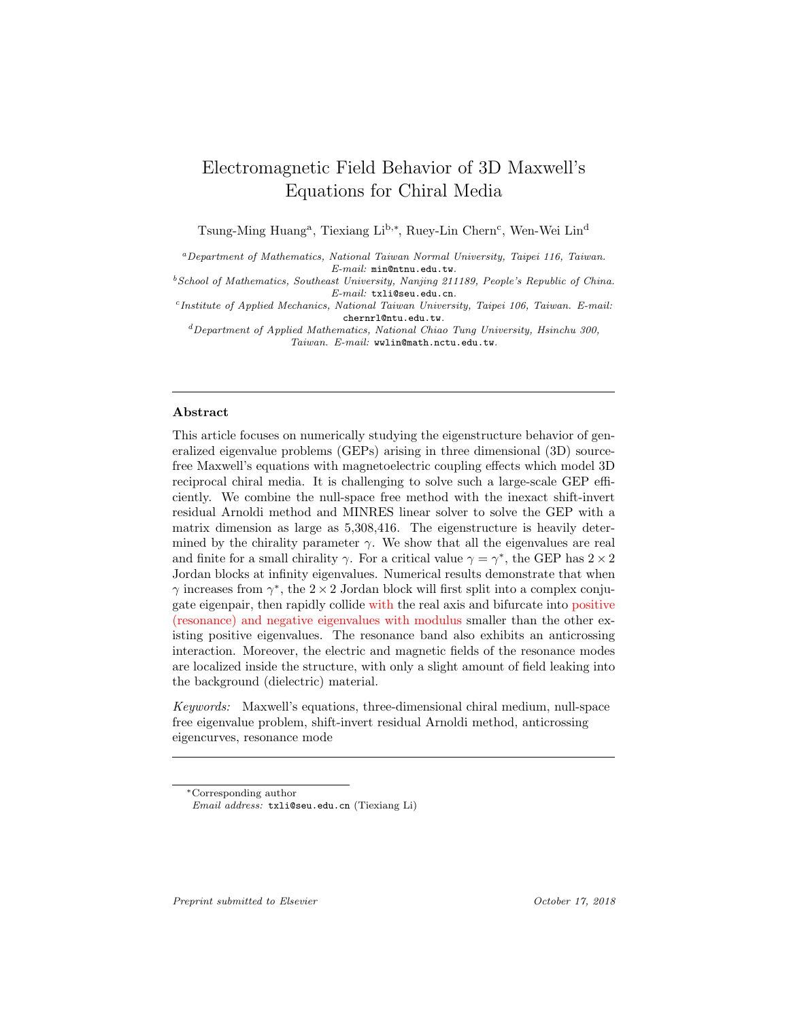# Electromagnetic Field Behavior of 3D Maxwell's Equations for Chiral Media

Tsung-Ming Huang<sup>a</sup>, Tiexiang Li<sup>b,∗</sup>, Ruey-Lin Chern<sup>c</sup>, Wen-Wei Lin<sup>d</sup>

<sup>a</sup>Department of Mathematics, National Taiwan Normal University, Taipei 116, Taiwan. E-mail: min@ntnu.edu.tw.

 $^{b}$  School of Mathematics, Southeast University, Nanjing 211189, People's Republic of China. E-mail: txli@seu.edu.cn.

c Institute of Applied Mechanics, National Taiwan University, Taipei 106, Taiwan. E-mail: chernrl@ntu.edu.tw.

 ${}^{d}$ Department of Applied Mathematics, National Chiao Tung University, Hsinchu 300, Taiwan. E-mail: wwlin@math.nctu.edu.tw.

## Abstract

This article focuses on numerically studying the eigenstructure behavior of generalized eigenvalue problems (GEPs) arising in three dimensional (3D) sourcefree Maxwell's equations with magnetoelectric coupling effects which model 3D reciprocal chiral media. It is challenging to solve such a large-scale GEP efficiently. We combine the null-space free method with the inexact shift-invert residual Arnoldi method and MINRES linear solver to solve the GEP with a matrix dimension as large as 5,308,416. The eigenstructure is heavily determined by the chirality parameter  $\gamma$ . We show that all the eigenvalues are real and finite for a small chirality  $\gamma$ . For a critical value  $\gamma = \gamma^*$ , the GEP has  $2 \times 2$ Jordan blocks at infinity eigenvalues. Numerical results demonstrate that when  $\gamma$  increases from  $\gamma^*$ , the 2 × 2 Jordan block will first split into a complex conjugate eigenpair, then rapidly collide with the real axis and bifurcate into positive (resonance) and negative eigenvalues with modulus smaller than the other existing positive eigenvalues. The resonance band also exhibits an anticrossing interaction. Moreover, the electric and magnetic fields of the resonance modes are localized inside the structure, with only a slight amount of field leaking into the background (dielectric) material.

Keywords: Maxwell's equations, three-dimensional chiral medium, null-space free eigenvalue problem, shift-invert residual Arnoldi method, anticrossing eigencurves, resonance mode

Preprint submitted to Elsevier Containers and Corollary Corollary Corollary Corollary 2018

<sup>∗</sup>Corresponding author

Email address: txli@seu.edu.cn (Tiexiang Li)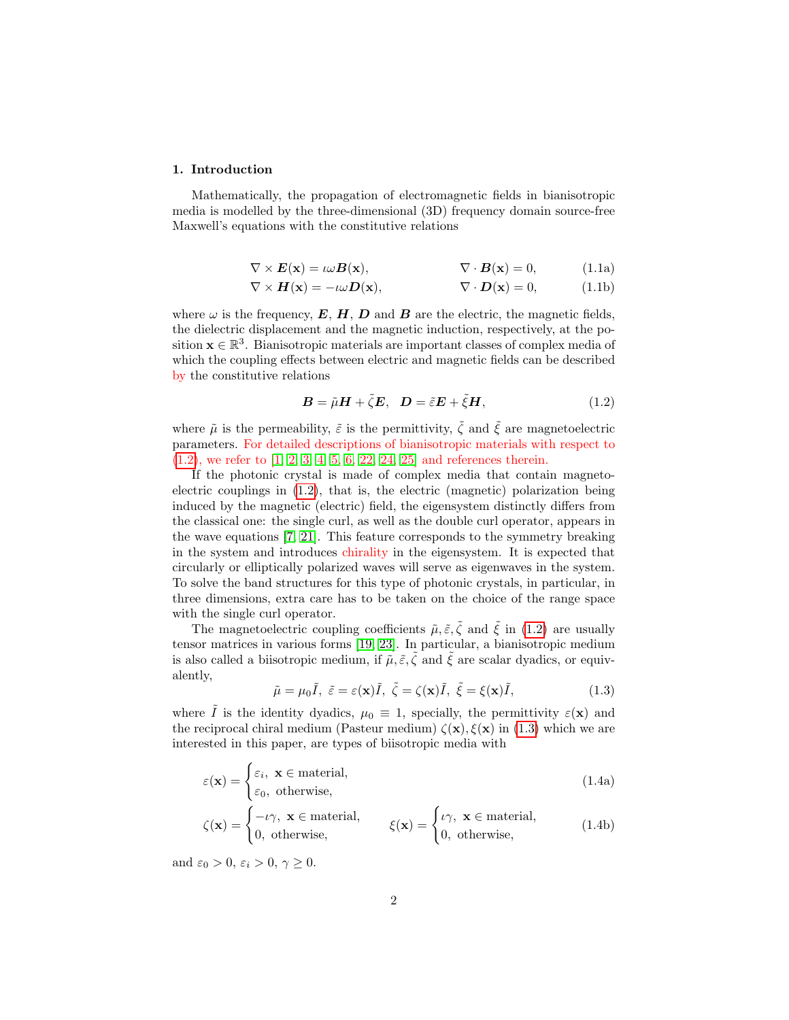## 1. Introduction

<span id="page-1-2"></span>Mathematically, the propagation of electromagnetic fields in bianisotropic media is modelled by the three-dimensional (3D) frequency domain source-free Maxwell's equations with the constitutive relations

$$
\nabla \times \mathbf{E}(\mathbf{x}) = \iota \omega \mathbf{B}(\mathbf{x}), \qquad \nabla \cdot \mathbf{B}(\mathbf{x}) = 0, \qquad (1.1a)
$$

$$
\nabla \times \mathbf{H}(\mathbf{x}) = -\iota \omega \mathbf{D}(\mathbf{x}), \qquad \nabla \cdot \mathbf{D}(\mathbf{x}) = 0, \qquad (1.1b)
$$

where  $\omega$  is the frequency,  $E, H, D$  and  $B$  are the electric, the magnetic fields, the dielectric displacement and the magnetic induction, respectively, at the position  $\mathbf{x} \in \mathbb{R}^3$ . Bianisotropic materials are important classes of complex media of which the coupling effects between electric and magnetic fields can be described by the constitutive relations

<span id="page-1-0"></span>
$$
\mathbf{B} = \tilde{\mu}\mathbf{H} + \tilde{\zeta}\mathbf{E}, \quad \mathbf{D} = \tilde{\varepsilon}\mathbf{E} + \tilde{\zeta}\mathbf{H}, \tag{1.2}
$$

where  $\tilde{\mu}$  is the permeability,  $\tilde{\varepsilon}$  is the permittivity,  $\tilde{\zeta}$  and  $\tilde{\xi}$  are magnetoelectric parameters. For detailed descriptions of bianisotropic materials with respect to [\(1.2\)](#page-1-0), we refer to [\[1,](#page-20-0) [2,](#page-20-1) [3,](#page-20-2) [4,](#page-20-3) [5,](#page-20-4) [6,](#page-20-5) [22,](#page-21-0) [24,](#page-21-1) [25\]](#page-21-2) and references therein.

If the photonic crystal is made of complex media that contain magnetoelectric couplings in [\(1.2\)](#page-1-0), that is, the electric (magnetic) polarization being induced by the magnetic (electric) field, the eigensystem distinctly differs from the classical one: the single curl, as well as the double curl operator, appears in the wave equations [\[7,](#page-20-6) [21\]](#page-21-3). This feature corresponds to the symmetry breaking in the system and introduces chirality in the eigensystem. It is expected that circularly or elliptically polarized waves will serve as eigenwaves in the system. To solve the band structures for this type of photonic crystals, in particular, in three dimensions, extra care has to be taken on the choice of the range space with the single curl operator.

The magnetoelectric coupling coefficients  $\tilde{\mu}, \tilde{\varepsilon}, \tilde{\zeta}$  and  $\tilde{\xi}$  in [\(1.2\)](#page-1-0) are usually tensor matrices in various forms [\[19,](#page-21-4) [23\]](#page-21-5). In particular, a bianisotropic medium is also called a biisotropic medium, if  $\tilde{\mu}, \tilde{\varepsilon}, \tilde{\zeta}$  and  $\tilde{\xi}$  are scalar dyadics, or equivalently,

<span id="page-1-3"></span><span id="page-1-1"></span>
$$
\tilde{\mu} = \mu_0 \tilde{I}, \ \tilde{\varepsilon} = \varepsilon(\mathbf{x}) \tilde{I}, \ \tilde{\zeta} = \zeta(\mathbf{x}) \tilde{I}, \ \tilde{\xi} = \xi(\mathbf{x}) \tilde{I}, \tag{1.3}
$$

where  $\tilde{I}$  is the identity dyadics,  $\mu_0 \equiv 1$ , specially, the permittivity  $\varepsilon(\mathbf{x})$  and the reciprocal chiral medium (Pasteur medium)  $\zeta(\mathbf{x}), \xi(\mathbf{x})$  in [\(1.3\)](#page-1-1) which we are interested in this paper, are types of biisotropic media with

$$
\varepsilon(\mathbf{x}) = \begin{cases} \varepsilon_i, & \mathbf{x} \in \text{material}, \\ \varepsilon_0, & \text{otherwise}, \end{cases}
$$
 (1.4a)

$$
\zeta(\mathbf{x}) = \begin{cases}\n-\iota\gamma, & \mathbf{x} \in \text{material}, \\
0, & \text{otherwise},\n\end{cases} \qquad \xi(\mathbf{x}) = \begin{cases}\n\iota\gamma, & \mathbf{x} \in \text{material}, \\
0, & \text{otherwise},\n\end{cases} (1.4b)
$$

and  $\varepsilon_0 > 0$ ,  $\varepsilon_i > 0$ ,  $\gamma \geq 0$ .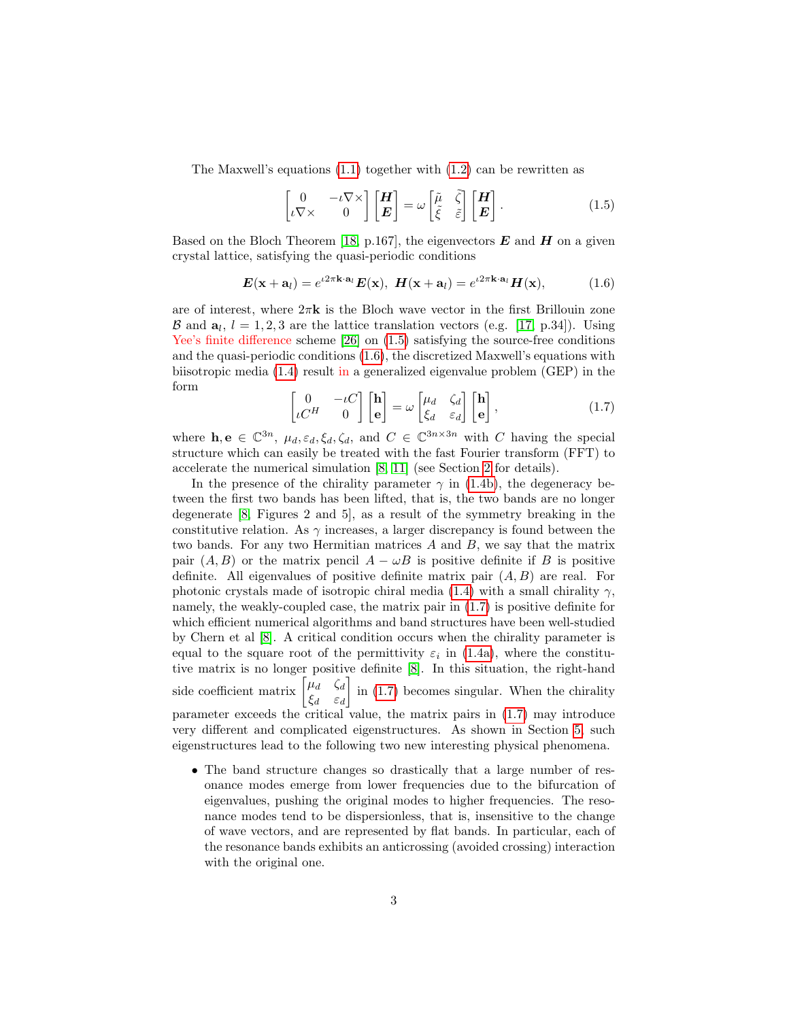The Maxwell's equations [\(1.1\)](#page-1-2) together with [\(1.2\)](#page-1-0) can be rewritten as

<span id="page-2-1"></span><span id="page-2-0"></span>
$$
\begin{bmatrix} 0 & -\iota \nabla \times \\ \iota \nabla \times & 0 \end{bmatrix} \begin{bmatrix} H \\ E \end{bmatrix} = \omega \begin{bmatrix} \tilde{\mu} & \tilde{\zeta} \\ \tilde{\xi} & \tilde{\varepsilon} \end{bmatrix} \begin{bmatrix} H \\ E \end{bmatrix}.
$$
 (1.5)

Based on the Bloch Theorem [\[18,](#page-21-6) p.167], the eigenvectors  $E$  and  $H$  on a given crystal lattice, satisfying the quasi-periodic conditions

$$
\boldsymbol{E}(\mathbf{x} + \mathbf{a}_l) = e^{i2\pi \mathbf{k} \cdot \mathbf{a}_l} \boldsymbol{E}(\mathbf{x}), \ \boldsymbol{H}(\mathbf{x} + \mathbf{a}_l) = e^{i2\pi \mathbf{k} \cdot \mathbf{a}_l} \boldsymbol{H}(\mathbf{x}), \tag{1.6}
$$

are of interest, where  $2\pi k$  is the Bloch wave vector in the first Brillouin zone B and  $a_l$ ,  $l = 1, 2, 3$  are the lattice translation vectors (e.g. [\[17,](#page-21-7) p.34]). Using Yee's finite difference scheme [\[26\]](#page-21-8) on  $(1.5)$  satisfying the source-free conditions and the quasi-periodic conditions [\(1.6\)](#page-2-1), the discretized Maxwell's equations with biisotropic media [\(1.4\)](#page-1-3) result in a generalized eigenvalue problem (GEP) in the form

$$
\begin{bmatrix} 0 & -\iota C \\ \iota C^H & 0 \end{bmatrix} \begin{bmatrix} \mathbf{h} \\ \mathbf{e} \end{bmatrix} = \omega \begin{bmatrix} \mu_d & \zeta_d \\ \xi_d & \varepsilon_d \end{bmatrix} \begin{bmatrix} \mathbf{h} \\ \mathbf{e} \end{bmatrix},
$$
(1.7)

<span id="page-2-2"></span>where  $\mathbf{h}, \mathbf{e} \in \mathbb{C}^{3n}$ ,  $\mu_d, \varepsilon_d, \xi_d, \zeta_d$ , and  $C \in \mathbb{C}^{3n \times 3n}$  with C having the special structure which can easily be treated with the fast Fourier transform (FFT) to accelerate the numerical simulation [\[8,](#page-20-7) [11\]](#page-20-8) (see Section [2](#page-4-0) for details).

In the presence of the chirality parameter  $\gamma$  in [\(1.4b\)](#page-1-0), the degeneracy between the first two bands has been lifted, that is, the two bands are no longer degenerate [\[8,](#page-20-7) Figures 2 and 5], as a result of the symmetry breaking in the constitutive relation. As  $\gamma$  increases, a larger discrepancy is found between the two bands. For any two Hermitian matrices  $A$  and  $B$ , we say that the matrix pair  $(A, B)$  or the matrix pencil  $A - \omega B$  is positive definite if B is positive definite. All eigenvalues of positive definite matrix pair  $(A, B)$  are real. For photonic crystals made of isotropic chiral media [\(1.4\)](#page-1-3) with a small chirality  $\gamma$ , namely, the weakly-coupled case, the matrix pair in [\(1.7\)](#page-2-2) is positive definite for which efficient numerical algorithms and band structures have been well-studied by Chern et al [\[8\]](#page-20-7). A critical condition occurs when the chirality parameter is equal to the square root of the permittivity  $\varepsilon_i$  in [\(1.4a\)](#page-1-2), where the constitutive matrix is no longer positive definite [\[8\]](#page-20-7). In this situation, the right-hand side coefficient matrix  $\begin{bmatrix} \mu_d & \zeta_d \end{bmatrix}$  $\xi_d$   $\varepsilon_d$  $\int$  in [\(1.7\)](#page-2-2) becomes singular. When the chirality parameter exceeds the critical value, the matrix pairs in [\(1.7\)](#page-2-2) may introduce very different and complicated eigenstructures. As shown in Section [5,](#page-12-0) such eigenstructures lead to the following two new interesting physical phenomena.

• The band structure changes so drastically that a large number of resonance modes emerge from lower frequencies due to the bifurcation of eigenvalues, pushing the original modes to higher frequencies. The resonance modes tend to be dispersionless, that is, insensitive to the change of wave vectors, and are represented by flat bands. In particular, each of the resonance bands exhibits an anticrossing (avoided crossing) interaction with the original one.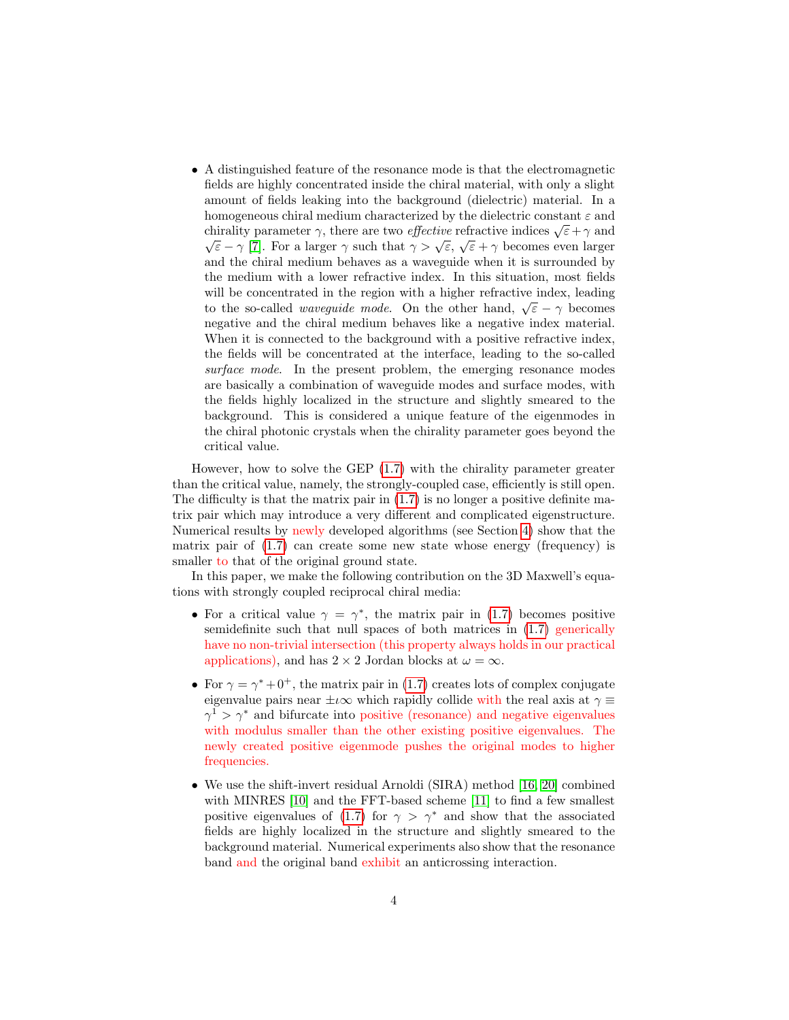• A distinguished feature of the resonance mode is that the electromagnetic fields are highly concentrated inside the chiral material, with only a slight amount of fields leaking into the background (dielectric) material. In a homogeneous chiral medium characterized by the dielectric constant  $\varepsilon$  and chirality parameter  $\gamma$ , there are two *effective* refractive indices  $\sqrt{\varepsilon} + \gamma$  and  $\sqrt{\varepsilon}$  $\overline{\varepsilon}$  – γ [\[7\]](#page-20-6). For a larger γ such that  $\gamma > \sqrt{\varepsilon}$ ,  $\sqrt{\varepsilon} + \gamma$  becomes even larger and the chiral medium behaves as a waveguide when it is surrounded by the medium with a lower refractive index. In this situation, most fields will be concentrated in the region with a higher refractive index, leading will be concentrated in the region with a higher reflactive index, leading to the so-called *waveguide mode*. On the other hand,  $\sqrt{\varepsilon} - \gamma$  becomes negative and the chiral medium behaves like a negative index material. When it is connected to the background with a positive refractive index, the fields will be concentrated at the interface, leading to the so-called surface mode. In the present problem, the emerging resonance modes are basically a combination of waveguide modes and surface modes, with the fields highly localized in the structure and slightly smeared to the background. This is considered a unique feature of the eigenmodes in the chiral photonic crystals when the chirality parameter goes beyond the critical value.

However, how to solve the GEP [\(1.7\)](#page-2-2) with the chirality parameter greater than the critical value, namely, the strongly-coupled case, efficiently is still open. The difficulty is that the matrix pair in  $(1.7)$  is no longer a positive definite matrix pair which may introduce a very different and complicated eigenstructure. Numerical results by newly developed algorithms (see Section [4\)](#page-9-0) show that the matrix pair of  $(1.7)$  can create some new state whose energy (frequency) is smaller to that of the original ground state.

In this paper, we make the following contribution on the 3D Maxwell's equations with strongly coupled reciprocal chiral media:

- For a critical value  $\gamma = \gamma^*$ , the matrix pair in [\(1.7\)](#page-2-2) becomes positive semidefinite such that null spaces of both matrices in [\(1.7\)](#page-2-2) generically have no non-trivial intersection (this property always holds in our practical applications), and has  $2 \times 2$  Jordan blocks at  $\omega = \infty$ .
- For  $\gamma = \gamma^* + 0^+$ , the matrix pair in [\(1.7\)](#page-2-2) creates lots of complex conjugate eigenvalue pairs near  $\pm\iota\infty$  which rapidly collide with the real axis at  $\gamma \equiv$  $\gamma^1 > \gamma^*$  and bifurcate into positive (resonance) and negative eigenvalues with modulus smaller than the other existing positive eigenvalues. The newly created positive eigenmode pushes the original modes to higher frequencies.
- We use the shift-invert residual Arnoldi (SIRA) method [\[16,](#page-21-9) [20\]](#page-21-10) combined with MINRES [\[10\]](#page-20-9) and the FFT-based scheme [\[11\]](#page-20-8) to find a few smallest positive eigenvalues of [\(1.7\)](#page-2-2) for  $\gamma > \gamma^*$  and show that the associated fields are highly localized in the structure and slightly smeared to the background material. Numerical experiments also show that the resonance band and the original band exhibit an anticrossing interaction.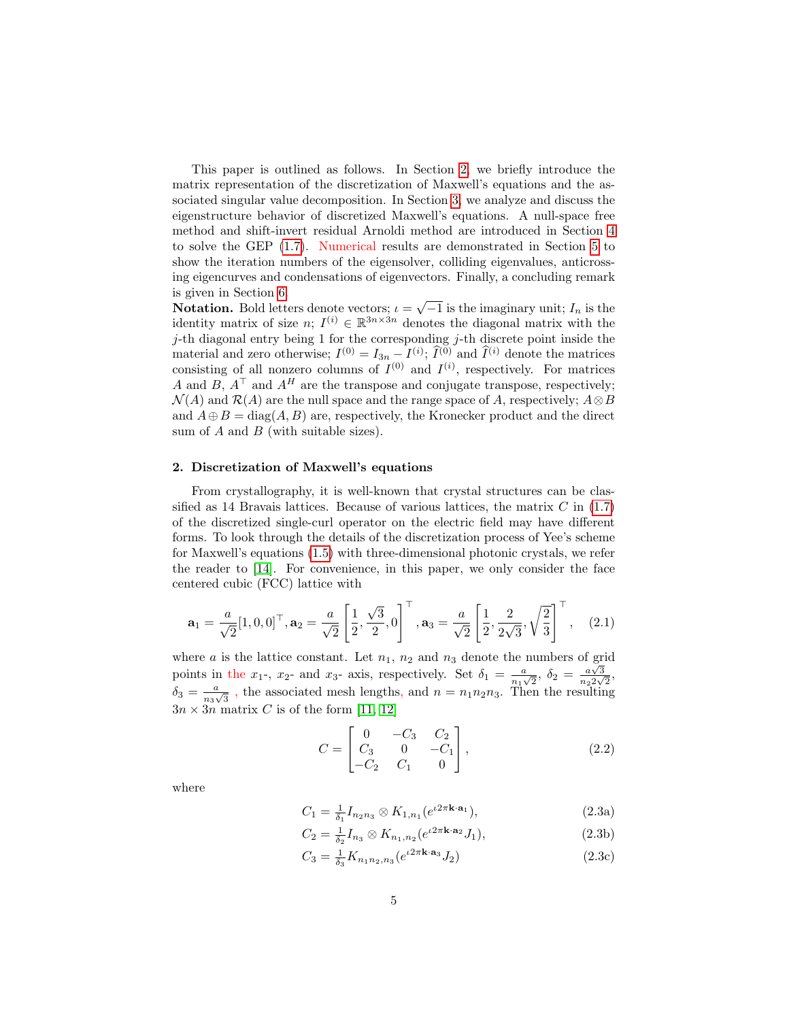This paper is outlined as follows. In Section [2,](#page-4-0) we briefly introduce the matrix representation of the discretization of Maxwell's equations and the associated singular value decomposition. In Section [3,](#page-6-0) we analyze and discuss the eigenstructure behavior of discretized Maxwell's equations. A null-space free method and shift-invert residual Arnoldi method are introduced in Section [4](#page-9-0) to solve the GEP [\(1.7\)](#page-2-2). Numerical results are demonstrated in Section [5](#page-12-0) to show the iteration numbers of the eigensolver, colliding eigenvalues, anticrossing eigencurves and condensations of eigenvectors. Finally, a concluding remark is given in Section [6.](#page-18-0)

is given in section 6.<br>**Notation.** Bold letters denote vectors;  $\iota = \sqrt{-1}$  is the imaginary unit;  $I_n$  is the identity matrix of size  $n; I^{(i)} \in \mathbb{R}^{3n \times 3n}$  denotes the diagonal matrix with the  $j$ -th diagonal entry being 1 for the corresponding  $j$ -th discrete point inside the material and zero otherwise;  $I^{(0)} = I_{3n} - I^{(i)}$ ;  $\tilde{I}^{(0)}$  and  $\tilde{I}^{(i)}$  denote the matrices consisting of all nonzero columns of  $I^{(0)}$  and  $I^{(i)}$ , respectively. For matrices A and  $B, A^{\top}$  and  $A^H$  are the transpose and conjugate transpose, respectively;  $\mathcal{N}(A)$  and  $\mathcal{R}(A)$  are the null space and the range space of A, respectively;  $A \otimes B$ and  $A \oplus B = \text{diag}(A, B)$  are, respectively, the Kronecker product and the direct sum of  $A$  and  $B$  (with suitable sizes).

#### <span id="page-4-0"></span>2. Discretization of Maxwell's equations

From crystallography, it is well-known that crystal structures can be classified as 14 Bravais lattices. Because of various lattices, the matrix  $C$  in  $(1.7)$ of the discretized single-curl operator on the electric field may have different forms. To look through the details of the discretization process of Yee's scheme for Maxwell's equations [\(1.5\)](#page-2-0) with three-dimensional photonic crystals, we refer the reader to [\[14\]](#page-21-11). For convenience, in this paper, we only consider the face centered cubic (FCC) lattice with

$$
\mathbf{a}_1 = \frac{a}{\sqrt{2}} [1, 0, 0]^\top, \mathbf{a}_2 = \frac{a}{\sqrt{2}} \left[ \frac{1}{2}, \frac{\sqrt{3}}{2}, 0 \right]^\top, \mathbf{a}_3 = \frac{a}{\sqrt{2}} \left[ \frac{1}{2}, \frac{2}{2\sqrt{3}}, \sqrt{\frac{2}{3}} \right]^\top, \quad (2.1)
$$

where a is the lattice constant. Let  $n_1$ ,  $n_2$  and  $n_3$  denote the numbers of grid points in the  $x_1$ -,  $x_2$ - and  $x_3$ - axis, respectively. Set  $\delta_1 = \frac{a}{x_1}$  $\frac{a}{n_1\sqrt{2}}, \delta_2 = \frac{a\sqrt{3}}{n_2\sqrt{3}}$  $\frac{a\sqrt{3}}{n_2 2\sqrt{2}},$  $\delta_3 = \frac{a}{n}$  $\frac{a}{n_3\sqrt{3}}$ , the associated mesh lengths, and  $n = n_1n_2n_3$ . Then the resulting  $3n \times 3n$  matrix C is of the form [\[11,](#page-20-8) [12\]](#page-20-10)

<span id="page-4-3"></span><span id="page-4-2"></span>
$$
C = \begin{bmatrix} 0 & -C_3 & C_2 \\ C_3 & 0 & -C_1 \\ -C_2 & C_1 & 0 \end{bmatrix},
$$
 (2.2)

<span id="page-4-1"></span>where

$$
C_1 = \frac{1}{\delta_1} I_{n_2 n_3} \otimes K_{1, n_1} (e^{i2\pi \mathbf{k} \cdot \mathbf{a}_1}), \tag{2.3a}
$$

$$
C_2 = \frac{1}{\delta_2} I_{n_3} \otimes K_{n_1, n_2} (e^{i2\pi \mathbf{k} \cdot \mathbf{a}_2} J_1), \tag{2.3b}
$$

$$
C_3 = \frac{1}{\delta_3} K_{n_1 n_2, n_3} (e^{i2\pi \mathbf{k} \cdot \mathbf{a}_3} J_2)
$$
 (2.3c)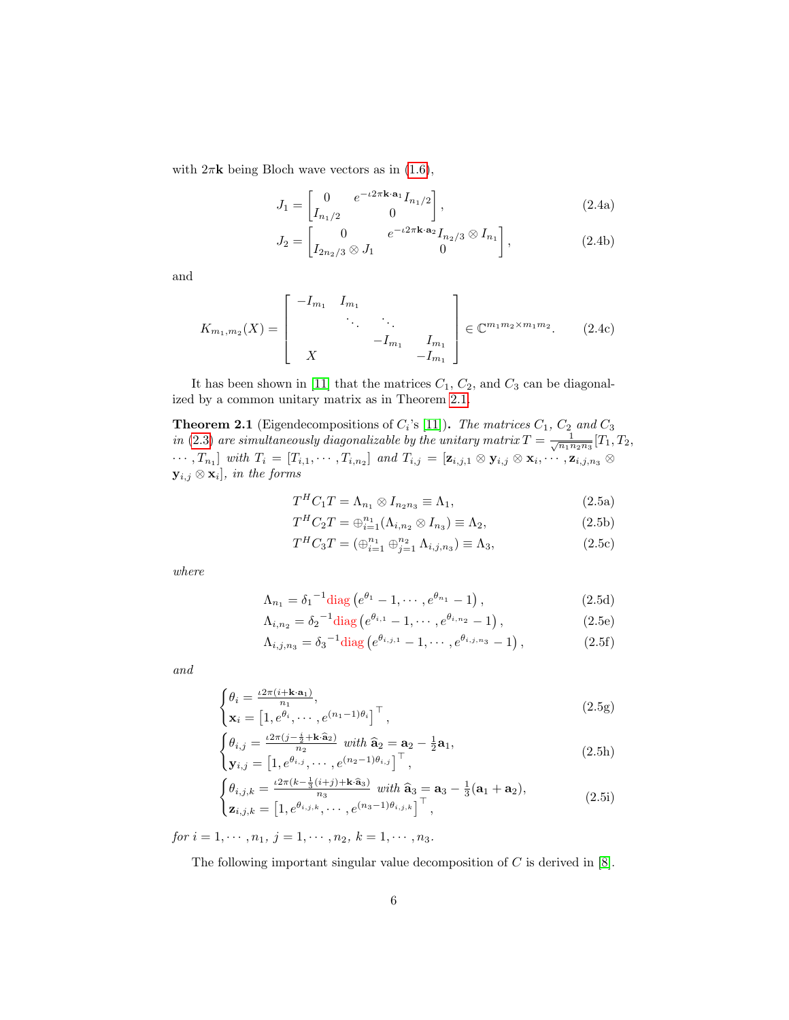with  $2\pi$ **k** being Bloch wave vectors as in [\(1.6\)](#page-2-1),

$$
J_1 = \begin{bmatrix} 0 & e^{-\iota 2\pi \mathbf{k} \cdot \mathbf{a}_1} I_{n_1/2} \\ I_{n_1/2} & 0 \end{bmatrix},
$$
 (2.4a)

$$
J_2 = \begin{bmatrix} 0 & e^{-\iota 2\pi \mathbf{k} \cdot \mathbf{a}_2} I_{n_2/3} \otimes I_{n_1} \\ I_{2n_2/3} \otimes J_1 & 0 \end{bmatrix},
$$
(2.4b)

and

$$
K_{m_1,m_2}(X) = \begin{bmatrix} -I_{m_1} & I_{m_1} & & \\ & \ddots & \ddots & \\ & & -I_{m_1} & I_{m_1} \\ X & & & -I_{m_1} \end{bmatrix} \in \mathbb{C}^{m_1 m_2 \times m_1 m_2}.
$$
 (2.4c)

It has been shown in [\[11\]](#page-20-8) that the matrices  $C_1$ ,  $C_2$ , and  $C_3$  can be diagonalized by a common unitary matrix as in Theorem [2.1.](#page-5-0)

<span id="page-5-0"></span>**Theorem 2.1** (Eigendecompositions of  $C_i$ 's [\[11\]](#page-20-8)). The matrices  $C_1$ ,  $C_2$  and  $C_3$ in [\(2.3\)](#page-4-1) are simultaneously diagonalizable by the unitary matrix  $T = \frac{1}{\sqrt{n_1 n_2 n_3}} [T_1, T_2,$  $\cdots, T_{n_1}$  with  $T_i = [T_{i,1}, \cdots, T_{i,n_2}]$  and  $T_{i,j} = [\mathbf{z}_{i,j,1} \otimes \mathbf{y}_{i,j} \otimes \mathbf{x}_i, \cdots, \mathbf{z}_{i,j,n_3} \otimes \mathbf{z}_i]$  $\mathbf{y}_{i,j} \otimes \mathbf{x}_i$ , in the forms

$$
T^{H}C_{1}T = \Lambda_{n_{1}} \otimes I_{n_{2}n_{3}} \equiv \Lambda_{1}, \qquad (2.5a)
$$

$$
T^{H}C_{2}T = \bigoplus_{i=1}^{n_{1}} (\Lambda_{i,n_{2}} \otimes I_{n_{3}}) \equiv \Lambda_{2},
$$
\n(2.5b)

<span id="page-5-3"></span>
$$
T^{H}C_{3}T = (\bigoplus_{i=1}^{n_{1}} \bigoplus_{j=1}^{n_{2}} \Lambda_{i,j,n_{3}}) \equiv \Lambda_{3},
$$
\n(2.5c)

where

$$
\Lambda_{n_1} = \delta_1^{-1} \text{diag} \left( e^{\theta_1} - 1, \cdots, e^{\theta_{n_1}} - 1 \right), \tag{2.5d}
$$

$$
\Lambda_{i,n_2} = \delta_2^{-1} \text{diag} \left( e^{\theta_{i,1}} - 1, \cdots, e^{\theta_{i,n_2}} - 1 \right), \tag{2.5e}
$$

<span id="page-5-1"></span>
$$
\Lambda_{i,j,n_3} = \delta_3^{-1} \text{diag} \left( e^{\theta_{i,j,1}} - 1, \cdots, e^{\theta_{i,j,n_3}} - 1 \right), \tag{2.5f}
$$

and

$$
\begin{cases} \theta_i = \frac{\iota 2\pi (i + \mathbf{k} \cdot \mathbf{a}_1)}{n_1}, \\ \mathbf{x}_i = \left[ 1, e^{\theta_i}, \cdots, e^{(n_1 - 1)\theta_i} \right]^\top, \end{cases}
$$
\n(2.5g)

$$
\begin{cases}\n\theta_{i,j} = \frac{\iota 2\pi (j - \frac{i}{2} + \mathbf{k} \cdot \hat{\mathbf{a}}_2)}{n_2} \quad \text{with } \hat{\mathbf{a}}_2 = \mathbf{a}_2 - \frac{1}{2} \mathbf{a}_1, \\
\mathbf{y}_{i,j} = \left[1, e^{\theta_{i,j}}, \cdots, e^{(n_2 - 1)\theta_{i,j}}\right]^\top,\n\end{cases} \tag{2.5h}
$$

$$
\begin{cases}\n\theta_{i,j,k} = \frac{\iota 2\pi (k - \frac{1}{3}(i+j) + \mathbf{k} \cdot \hat{\mathbf{a}}_3)}{n_3} \quad \text{with } \hat{\mathbf{a}}_3 = \mathbf{a}_3 - \frac{1}{3}(\mathbf{a}_1 + \mathbf{a}_2), \\
\mathbf{z}_{i,j,k} = \left[1, e^{\theta_{i,j,k}}, \cdots, e^{(n_3-1)\theta_{i,j,k}}\right]^\top,\n\end{cases} \tag{2.5i}
$$

for  $i = 1, \dots, n_1, j = 1, \dots, n_2, k = 1, \dots, n_3.$ 

<span id="page-5-2"></span>The following important singular value decomposition of  $C$  is derived in  $[8]$ .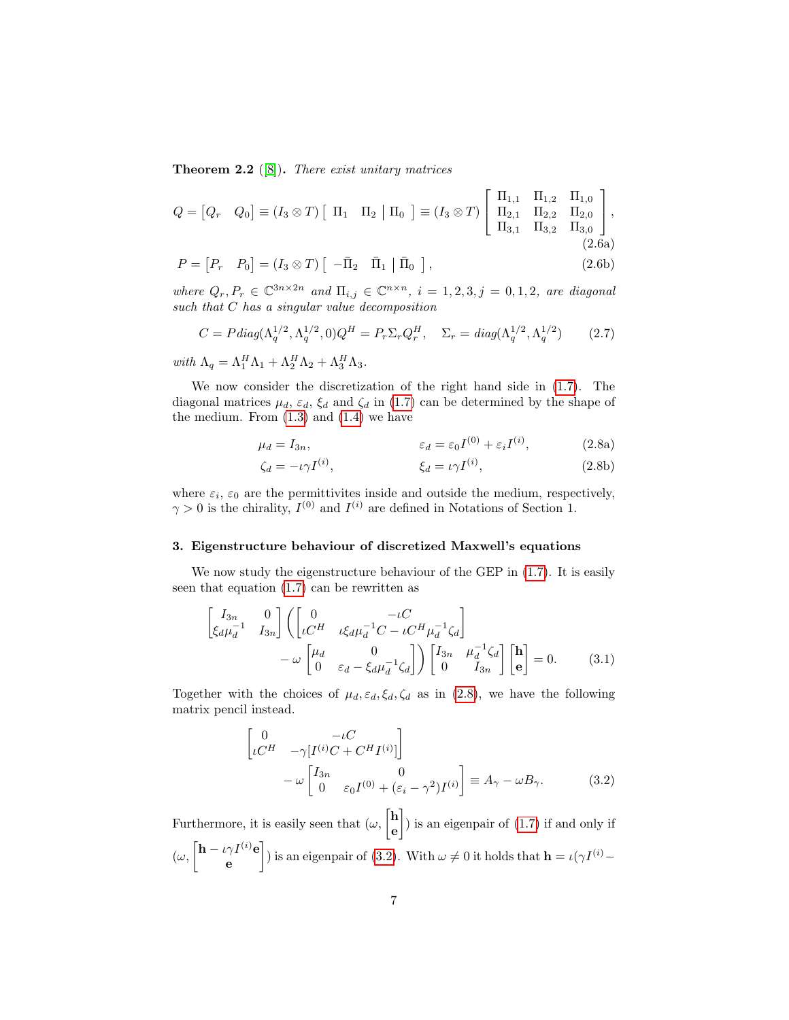**Theorem 2.2** ([\[8\]](#page-20-7)). There exist unitary matrices

$$
Q = [Q_r \quad Q_0] \equiv (I_3 \otimes T) \left[ \begin{array}{cc} \Pi_1 & \Pi_2 \end{array} \middle| \begin{array}{cc} \Pi_0 \end{array} \right] \equiv (I_3 \otimes T) \left[ \begin{array}{ccc} \Pi_{1,1} & \Pi_{1,2} & \Pi_{1,0} \\ \Pi_{2,1} & \Pi_{2,2} & \Pi_{2,0} \\ \Pi_{3,1} & \Pi_{3,2} & \Pi_{3,0} \end{array} \right],
$$
\n
$$
(2.6a)
$$

$$
P = [P_r \quad P_0] = (I_3 \otimes T) \left[ \begin{array}{cc} -\bar{\Pi}_2 & \bar{\Pi}_1 \end{array} \right] \bar{\Pi}_0 \text{ }, \tag{2.6b}
$$

where  $Q_r, P_r \in \mathbb{C}^{3n \times 2n}$  and  $\Pi_{i,j} \in \mathbb{C}^{n \times n}$ ,  $i = 1, 2, 3, j = 0, 1, 2$ , are diagonal such that C has a singular value decomposition

$$
C = P \operatorname{diag}(\Lambda_q^{1/2}, \Lambda_q^{1/2}, 0) Q^H = P_r \Sigma_r Q_r^H, \quad \Sigma_r = \operatorname{diag}(\Lambda_q^{1/2}, \Lambda_q^{1/2}) \tag{2.7}
$$

with  $\Lambda_q = \Lambda_1^H \Lambda_1 + \Lambda_2^H \Lambda_2 + \Lambda_3^H \Lambda_3.$ 

We now consider the discretization of the right hand side in [\(1.7\)](#page-2-2). The diagonal matrices  $\mu_d$ ,  $\varepsilon_d$ ,  $\xi_d$  and  $\zeta_d$  in [\(1.7\)](#page-2-2) can be determined by the shape of the medium. From  $(1.3)$  and  $(1.4)$  we have

$$
\mu_d = I_{3n}, \qquad \qquad \varepsilon_d = \varepsilon_0 I^{(0)} + \varepsilon_i I^{(i)}, \qquad (2.8a)
$$

$$
\zeta_d = -\iota \gamma I^{(i)}, \qquad \qquad \xi_d = \iota \gamma I^{(i)}, \qquad (2.8b)
$$

where  $\varepsilon_i$ ,  $\varepsilon_0$  are the permittivites inside and outside the medium, respectively,  $\gamma > 0$  is the chirality,  $I^{(0)}$  and  $I^{(i)}$  are defined in Notations of Section 1.

## <span id="page-6-0"></span>3. Eigenstructure behaviour of discretized Maxwell's equations

We now study the eigenstructure behaviour of the GEP in [\(1.7\)](#page-2-2). It is easily seen that equation [\(1.7\)](#page-2-2) can be rewritten as

$$
\begin{bmatrix} I_{3n} & 0 \ \xi_d \mu_d^{-1} & I_{3n} \end{bmatrix} \left( \begin{bmatrix} 0 & -\iota C & -\iota C^H \mu_d^{-1} \zeta_d \end{bmatrix} - \omega \begin{bmatrix} \mu_d & 0 \ 0 & \varepsilon_d - \xi_d \mu_d^{-1} \zeta_d \end{bmatrix} \right) \begin{bmatrix} I_{3n} & \mu_d^{-1} \zeta_d \end{bmatrix} \begin{bmatrix} \mathbf{h} \\ \mathbf{e} \end{bmatrix} = 0.
$$
 (3.1)

Together with the choices of  $\mu_d$ ,  $\varepsilon_d$ ,  $\xi_d$ ,  $\zeta_d$  as in [\(2.8\)](#page-5-1), we have the following matrix pencil instead.

<span id="page-6-2"></span><span id="page-6-1"></span>
$$
\begin{bmatrix}\n0 & -\iota C \\
\iota C^H & -\gamma [I^{(i)}C + C^H I^{(i)}]\n\end{bmatrix} \\
-\omega \begin{bmatrix}\nI_{3n} & 0 \\
0 & \varepsilon_0 I^{(0)} + (\varepsilon_i - \gamma^2) I^{(i)}\n\end{bmatrix} \equiv A_\gamma - \omega B_\gamma.
$$
\n(3.2)

Furthermore, it is easily seen that  $(\omega, \begin{bmatrix} \mathbf{h} \\ h \end{bmatrix})$ e ) is an eigenpair of [\(1.7\)](#page-2-2) if and only if  $(\omega, \left[\mathbf{h} - \iota \gamma I^{(i)} \mathbf{e}\right]$ e ) is an eigenpair of [\(3.2\)](#page-6-1). With  $\omega \neq 0$  it holds that  $\mathbf{h} = \iota(\gamma I^{(i)} -$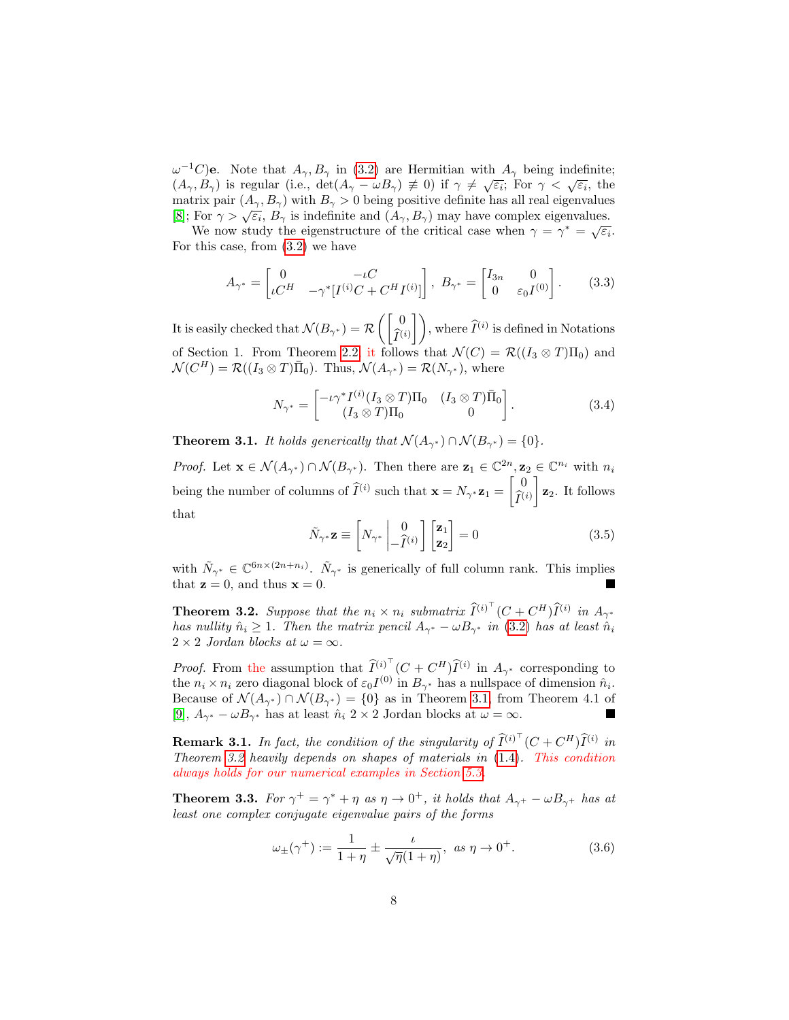$\omega^{-1}C$ )e. Note that  $A_{\gamma}, B_{\gamma}$  in [\(3.2\)](#page-6-1) are Hermitian with  $A_{\gamma}$  being indefinite;  $(A_{\gamma}, B_{\gamma})$  is regular (i.e., det $(A_{\gamma} - \omega B_{\gamma}) \neq 0$ ) if  $\gamma \neq \sqrt{\epsilon_i}$ ; For  $\gamma < \sqrt{\epsilon_i}$ , the matrix pair  $(A_{\gamma}, B_{\gamma})$  with  $B_{\gamma} > 0$  being positive definite has all real eigenvalues matrix pair  $(A_{\gamma}, B_{\gamma})$  with  $B_{\gamma} > 0$  being positive definite its an real eigenvalues.<br>[\[8\]](#page-20-7); For  $\gamma > \sqrt{\varepsilon_i}$ ,  $B_{\gamma}$  is indefinite and  $(A_{\gamma}, B_{\gamma})$  may have complex eigenvalues.

We now study the eigenstructure of the critical case when  $\gamma = \gamma^* = \sqrt{\varepsilon_i}$ . For this case, from [\(3.2\)](#page-6-1) we have

$$
A_{\gamma^*} = \begin{bmatrix} 0 & -\iota C \\ \iota C^H & -\gamma^* [I^{(i)}C + C^H I^{(i)}] \end{bmatrix}, \ B_{\gamma^*} = \begin{bmatrix} I_{3n} & 0 \\ 0 & \varepsilon_0 I^{(0)} \end{bmatrix}.
$$
 (3.3)

It is easily checked that  $\mathcal{N}(B_{\gamma^*}) = \mathcal{R}\left(\begin{bmatrix} 0 \\ \hat{\tau} \end{bmatrix}\right)$  $\left(\widehat{I}^{(i)}\right)$ , where  $\widehat{I}^{(i)}$  is defined in Notations of Section 1. From Theorem [2.2,](#page-5-2) it follows that  $\mathcal{N}(C) = \mathcal{R}((I_3 \otimes T)\Pi_0)$  and  $\mathcal{N}(C^H) = \mathcal{R}((I_3 \otimes T)\overline{\Pi}_0)$ . Thus,  $\mathcal{N}(A_{\gamma^*}) = \mathcal{R}(N_{\gamma^*})$ , where

$$
N_{\gamma^*} = \begin{bmatrix} -\iota \gamma^* I^{(i)} (I_3 \otimes T) \Pi_0 & (I_3 \otimes T) \bar{\Pi}_0 \\ (I_3 \otimes T) \Pi_0 & 0 \end{bmatrix} . \tag{3.4}
$$

<span id="page-7-0"></span>**Theorem 3.1.** It holds generically that  $\mathcal{N}(A_{\gamma^*}) \cap \mathcal{N}(B_{\gamma^*}) = \{0\}.$ 

*Proof.* Let  $\mathbf{x} \in \mathcal{N}(A_{\gamma^*}) \cap \mathcal{N}(B_{\gamma^*})$ . Then there are  $\mathbf{z}_1 \in \mathbb{C}^{2n}, \mathbf{z}_2 \in \mathbb{C}^{n_i}$  with  $n_i$ being the number of columns of  $\widehat{I}^{(i)}$  such that  $\mathbf{x} = N_{\gamma^*} \mathbf{z}_1 = \begin{bmatrix} 0 \\ \widehat{I}^{(i)} \end{bmatrix}$  $\widehat{I}^{(i)}$  $\mathbf{z}_2$ . It follows that

$$
\tilde{N}_{\gamma^*} \mathbf{z} \equiv \begin{bmatrix} N_{\gamma^*} & 0 \\ -\hat{I}^{(i)} \end{bmatrix} \begin{bmatrix} \mathbf{z}_1 \\ \mathbf{z}_2 \end{bmatrix} = 0 \tag{3.5}
$$

with  $\tilde{N}_{\gamma^*} \in \mathbb{C}^{6n \times (2n+n_i)}$ .  $\tilde{N}_{\gamma^*}$  is generically of full column rank. This implies that  $z = 0$ , and thus  $x = 0$ .

<span id="page-7-1"></span>**Theorem 3.2.** Suppose that the  $n_i \times n_i$  submatrix  $\widehat{I}^{(i)^\top} (C + C^H) \widehat{I}^{(i)}$  in  $A_{\gamma^*}$ has nullity  $\hat{n}_i \geq 1$ . Then the matrix pencil  $A_{\gamma^*} - \omega B_{\gamma^*}$  in [\(3.2\)](#page-6-1) has at least  $\hat{n}_i$  $2 \times 2$  Jordan blocks at  $\omega = \infty$ .

*Proof.* From the assumption that  $\widehat{I}^{(i)^\top} (C + C^H) \widehat{I}^{(i)}$  in  $A_{\gamma^*}$  corresponding to the  $n_i \times n_i$  zero diagonal block of  $\varepsilon_0 I^{(0)}$  in  $B_{\gamma^*}$  has a nullspace of dimension  $\hat{n}_i$ . Because of  $\mathcal{N}(A_{\gamma^*}) \cap \mathcal{N}(B_{\gamma^*}) = \{0\}$  as in Theorem [3.1,](#page-7-0) from Theorem 4.1 of [\[9\]](#page-20-11),  $A_{\gamma^*} - \omega B_{\gamma^*}$  has at least  $\hat{n}_i$  2 × 2 Jordan blocks at  $\omega = \infty$ .

**Remark 3.1.** In fact, the condition of the singularity of  $\widehat{I}^{(i)^\top}$   $(C + C^H) \widehat{I}^{(i)}$  in Theorem [3.2](#page-7-1) heavily depends on shapes of materials in [\(1.4\)](#page-1-3). This condition always holds for our numerical examples in Section [5.3.](#page-14-0)

<span id="page-7-3"></span>**Theorem 3.3.** For  $\gamma^+ = \gamma^* + \eta$  as  $\eta \to 0^+$ , it holds that  $A_{\gamma^+} - \omega B_{\gamma^+}$  has at least one complex conjugate eigenvalue pairs of the forms

<span id="page-7-2"></span>
$$
\omega_{\pm}(\gamma^+) := \frac{1}{1+\eta} \pm \frac{\iota}{\sqrt{\eta}(1+\eta)}, \ \text{as} \ \eta \to 0^+.
$$
 (3.6)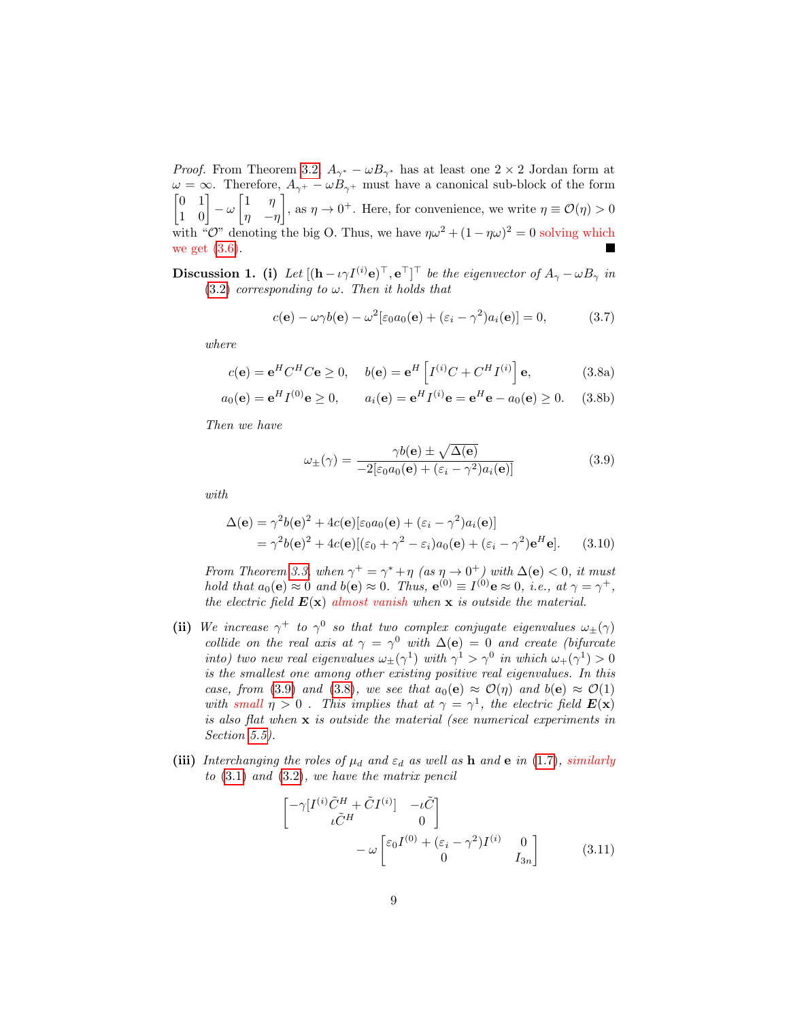*Proof.* From Theorem [3.2,](#page-7-1)  $A_{\gamma^*} - \omega B_{\gamma^*}$  has at least one 2 × 2 Jordan form at  $\omega = \infty$ . Therefore,  $A_{\gamma^+} - \omega B_{\gamma^+}$  must have a canonical sub-block of the form  $\begin{bmatrix} 0 & 1 \\ 1 & 0 \end{bmatrix}$  –  $\omega \begin{bmatrix} 1 & \eta \\ \eta & -t \end{bmatrix}$ , as  $\eta \to 0^+$ . Here, for convenience, we write  $\eta \equiv \mathcal{O}(\eta) > 0$  $\eta$  -η with "O" denoting the big O. Thus, we have  $\eta \omega^2 + (1 - \eta \omega)^2 = 0$  solving which we get [\(3.6\)](#page-7-2). П

<span id="page-8-4"></span>**Discussion 1.** (i) Let  $[(\mathbf{h} - i\gamma I^{(i)}\mathbf{e})^\top, \mathbf{e}^\top]^\top$  be the eigenvector of  $A_\gamma - \omega B_\gamma$  in [\(3.2\)](#page-6-1) corresponding to  $\omega$ . Then it holds that

<span id="page-8-2"></span>
$$
c(\mathbf{e}) - \omega \gamma b(\mathbf{e}) - \omega^2 [\varepsilon_0 a_0(\mathbf{e}) + (\varepsilon_i - \gamma^2) a_i(\mathbf{e})] = 0,
$$
 (3.7)

where

<span id="page-8-1"></span>
$$
c(\mathbf{e}) = \mathbf{e}^H C^H C \mathbf{e} \ge 0, \quad b(\mathbf{e}) = \mathbf{e}^H \left[ I^{(i)} C + C^H I^{(i)} \right] \mathbf{e}, \tag{3.8a}
$$

$$
a_0(e) = e^H I^{(0)} e \ge 0
$$
,  $a_i(e) = e^H I^{(i)} e = e^H e - a_0(e) \ge 0$ . (3.8b)

Then we have

<span id="page-8-3"></span><span id="page-8-0"></span>
$$
\omega_{\pm}(\gamma) = \frac{\gamma b(\mathbf{e}) \pm \sqrt{\Delta(\mathbf{e})}}{-2[\varepsilon_0 a_0(\mathbf{e}) + (\varepsilon_i - \gamma^2) a_i(\mathbf{e})]}
$$
(3.9)

with

$$
\Delta(\mathbf{e}) = \gamma^2 b(\mathbf{e})^2 + 4c(\mathbf{e})[\varepsilon_0 a_0(\mathbf{e}) + (\varepsilon_i - \gamma^2) a_i(\mathbf{e})]
$$
  
=  $\gamma^2 b(\mathbf{e})^2 + 4c(\mathbf{e})[(\varepsilon_0 + \gamma^2 - \varepsilon_i) a_0(\mathbf{e}) + (\varepsilon_i - \gamma^2) \mathbf{e}^H \mathbf{e}].$  (3.10)

From Theorem [3.3,](#page-7-3) when  $\gamma^+ = \gamma^* + \eta$  (as  $\eta \to 0^+$ ) with  $\Delta(e) < 0$ , it must hold that  $a_0(e) \approx 0$  and  $b(e) \approx 0$ . Thus,  $e^{(0)} \equiv I^{(0)} e \approx 0$ , i.e., at  $\gamma = \gamma^+$ , the electric field  $E(x)$  almost vanish when x is outside the material.

- (ii) We increase  $\gamma^+$  to  $\gamma^0$  so that two complex conjugate eigenvalues  $\omega_{\pm}(\gamma)$ collide on the real axis at  $\gamma = \gamma^0$  with  $\Delta(e) = 0$  and create (bifurcate into) two new real eigenvalues  $\omega_{\pm}(\gamma^1)$  with  $\gamma^1 > \gamma^0$  in which  $\omega_{+}(\gamma^1) > 0$ is the smallest one among other existing positive real eigenvalues. In this case, from [\(3.9\)](#page-8-0) and [\(3.8\)](#page-8-1), we see that  $a_0(e) \approx \mathcal{O}(\eta)$  and  $b(e) \approx \mathcal{O}(1)$ with small  $\eta > 0$ . This implies that at  $\gamma = \gamma^1$ , the electric field  $E(\mathbf{x})$ is also flat when x is outside the material (see numerical experiments in Section [5.5\)](#page-17-0).
- (iii) Interchanging the roles of  $\mu_d$  and  $\varepsilon_d$  as well as h and e in [\(1.7\)](#page-2-2), similarly to [\(3.1\)](#page-6-2) and [\(3.2\)](#page-6-1), we have the matrix pencil

$$
\begin{bmatrix}\n-\gamma[I^{(i)}\tilde{C}^{H} + \tilde{C}I^{(i)}] & -\iota\tilde{C} \\
\iota\tilde{C}^{H} & 0\n\end{bmatrix}\n-\omega\n\begin{bmatrix}\n\varepsilon_0 I^{(0)} + (\varepsilon_i - \gamma^2)I^{(i)} & 0 \\
0 & I_{3n}\n\end{bmatrix}
$$
\n(3.11)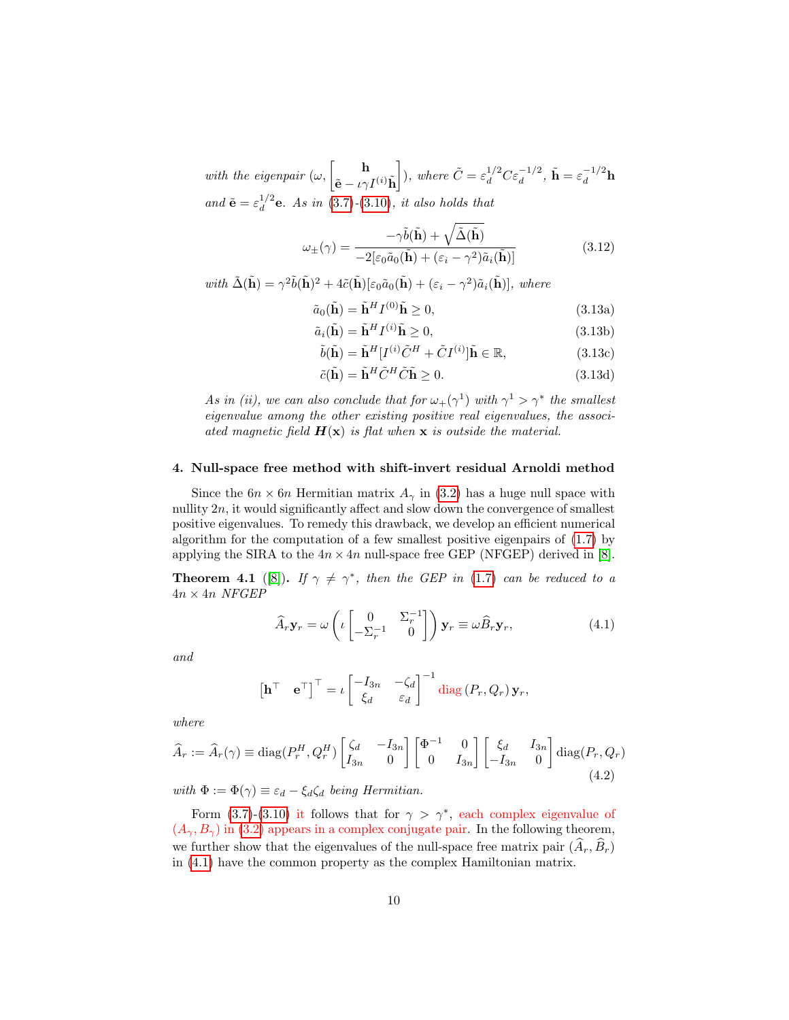with the eigenpair  $(\omega, \begin{bmatrix} \Box \ \Box \end{bmatrix})$  $\tilde{\mathbf{e}}-\iota\gamma I^{(i)}\tilde{\mathbf{h}}$ ), where  $\tilde{C} = \varepsilon_d^{1/2} C \varepsilon_d^{-1/2}$ ,  $\tilde{\mathbf{h}} = \varepsilon_d^{-1/2} \mathbf{h}$ and  $\tilde{\mathbf{e}} = \varepsilon_d^{1/2}$  $d_{d}^{1/2}$ **e**. As in [\(3.7\)](#page-8-2)-[\(3.10\)](#page-8-3), it also holds that

$$
\omega_{\pm}(\gamma) = \frac{-\gamma \tilde{b}(\tilde{\mathbf{h}}) + \sqrt{\tilde{\Delta}(\tilde{\mathbf{h}})}}{-2[\varepsilon_0 \tilde{a}_0(\tilde{\mathbf{h}}) + (\varepsilon_i - \gamma^2)\tilde{a}_i(\tilde{\mathbf{h}})]}
$$
(3.12)

with  $\tilde{\Delta}(\tilde{\mathbf{h}}) = \gamma^2 \tilde{b}(\tilde{\mathbf{h}})^2 + 4\tilde{c}(\tilde{\mathbf{h}})[\varepsilon_0 \tilde{a}_0(\tilde{\mathbf{h}}) + (\varepsilon_i - \gamma^2) \tilde{a}_i(\tilde{\mathbf{h}})],$  where

$$
\tilde{a}_0(\tilde{\mathbf{h}}) = \tilde{\mathbf{h}}^H I^{(0)} \tilde{\mathbf{h}} \ge 0,
$$
\n(3.13a)

$$
\tilde{a}_i(\tilde{\mathbf{h}}) = \tilde{\mathbf{h}}^H I^{(i)} \tilde{\mathbf{h}} \ge 0,
$$
\n(3.13b)

$$
\tilde{b}(\tilde{\mathbf{h}}) = \tilde{\mathbf{h}}^H [I^{(i)} \tilde{C}^H + \tilde{C} I^{(i)}] \tilde{\mathbf{h}} \in \mathbb{R}, \tag{3.13c}
$$

$$
\tilde{c}(\tilde{\mathbf{h}}) = \tilde{\mathbf{h}}^H \tilde{C}^H \tilde{C} \tilde{\mathbf{h}} \ge 0. \tag{3.13d}
$$

As in (ii), we can also conclude that for  $\omega_+(\gamma^1)$  with  $\gamma^1 > \gamma^*$  the smallest eigenvalue among the other existing positive real eigenvalues, the associated magnetic field  $H(x)$  is flat when x is outside the material.

#### <span id="page-9-0"></span>4. Null-space free method with shift-invert residual Arnoldi method

Since the  $6n \times 6n$  Hermitian matrix  $A_{\gamma}$  in [\(3.2\)](#page-6-1) has a huge null space with nullity 2n, it would significantly affect and slow down the convergence of smallest positive eigenvalues. To remedy this drawback, we develop an efficient numerical algorithm for the computation of a few smallest positive eigenpairs of [\(1.7\)](#page-2-2) by applying the SIRA to the  $4n \times 4n$  null-space free GEP (NFGEP) derived in [\[8\]](#page-20-7).

**Theorem 4.1** ([\[8\]](#page-20-7)). If  $\gamma \neq \gamma^*$ , then the GEP in [\(1.7\)](#page-2-2) can be reduced to a  $4n\times 4n$  NFGEP

<span id="page-9-1"></span>
$$
\widehat{A}_r \mathbf{y}_r = \omega \left( \iota \begin{bmatrix} 0 & \Sigma_r^{-1} \\ -\Sigma_r^{-1} & 0 \end{bmatrix} \right) \mathbf{y}_r \equiv \omega \widehat{B}_r \mathbf{y}_r, \tag{4.1}
$$

and

$$
\begin{bmatrix} \mathbf{h}^{\top} & \mathbf{e}^{\top} \end{bmatrix}^{\top} = \iota \begin{bmatrix} -I_{3n} & -\zeta_d \\ \zeta_d & \varepsilon_d \end{bmatrix}^{-1} \operatorname{diag} (P_r, Q_r) \mathbf{y}_r,
$$

<span id="page-9-2"></span>where

$$
\widehat{A}_r := \widehat{A}_r(\gamma) \equiv \text{diag}(P_r^H, Q_r^H) \begin{bmatrix} \zeta_d & -I_{3n} \\ I_{3n} & 0 \end{bmatrix} \begin{bmatrix} \Phi^{-1} & 0 \\ 0 & I_{3n} \end{bmatrix} \begin{bmatrix} \xi_d & I_{3n} \\ -I_{3n} & 0 \end{bmatrix} \text{diag}(P_r, Q_r) \tag{4.2}
$$

with  $\Phi := \Phi(\gamma) \equiv \varepsilon_d - \xi_d \zeta_d$  being Hermitian.

Form [\(3.7\)](#page-8-2)-[\(3.10\)](#page-8-3) it follows that for  $\gamma > \gamma^*$ , each complex eigenvalue of  $(A_{\gamma}, B_{\gamma})$  in [\(3.2\)](#page-6-1) appears in a complex conjugate pair. In the following theorem, we further show that the eigenvalues of the null-space free matrix pair  $(\hat{A}_r, \hat{B}_r)$ in [\(4.1\)](#page-9-1) have the common property as the complex Hamiltonian matrix.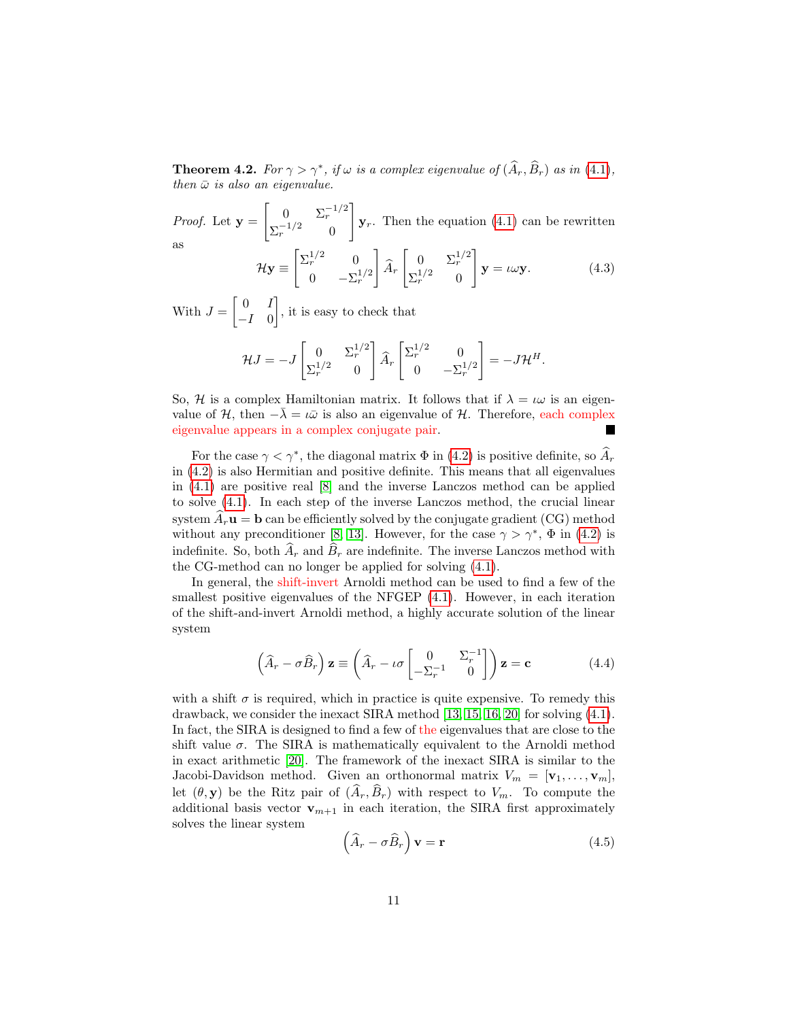**Theorem 4.2.** For  $\gamma > \gamma^*$ , if  $\omega$  is a complex eigenvalue of  $(\widehat{A}_r, \widehat{B}_r)$  as in [\(4.1\)](#page-9-1), then  $\bar{\omega}$  is also an eigenvalue.

*Proof.* Let  $y =$  $\begin{bmatrix} 0 & \Sigma_r^{-1/2} \end{bmatrix}$  $\Sigma_r^{-1/2}$  0 1  $\mathbf{y}_r$ . Then the equation [\(4.1\)](#page-9-1) can be rewritten as

$$
\mathcal{H}\mathbf{y} \equiv \begin{bmatrix} \Sigma_r^{1/2} & 0\\ 0 & -\Sigma_r^{1/2} \end{bmatrix} \widehat{A}_r \begin{bmatrix} 0 & \Sigma_r^{1/2} \\ \Sigma_r^{1/2} & 0 \end{bmatrix} \mathbf{y} = \iota \omega \mathbf{y}.
$$
 (4.3)

With  $J = \begin{bmatrix} 0 & I \\ I & 0 \end{bmatrix}$  $-I \quad 0$ , it is easy to check that

$$
\mathcal{H}J = -J \begin{bmatrix} 0 & \Sigma_r^{1/2} \\ \Sigma_r^{1/2} & 0 \end{bmatrix} \widehat{A}_r \begin{bmatrix} \Sigma_r^{1/2} & 0 \\ 0 & -\Sigma_r^{1/2} \end{bmatrix} = -J\mathcal{H}^H.
$$

So, H is a complex Hamiltonian matrix. It follows that if  $\lambda = \iota \omega$  is an eigenvalue of H, then  $-\lambda = \iota \bar{\omega}$  is also an eigenvalue of H. Therefore, each complex eigenvalue appears in a complex conjugate pair. H

For the case  $\gamma < \gamma^*$ , the diagonal matrix  $\Phi$  in [\(4.2\)](#page-9-2) is positive definite, so  $\widehat{A}_r$ in [\(4.2\)](#page-9-2) is also Hermitian and positive definite. This means that all eigenvalues in [\(4.1\)](#page-9-1) are positive real [\[8\]](#page-20-7) and the inverse Lanczos method can be applied to solve [\(4.1\)](#page-9-1). In each step of the inverse Lanczos method, the crucial linear system  $A_r$ **u** = **b** can be efficiently solved by the conjugate gradient (CG) method without any preconditioner [\[8,](#page-20-7) [13\]](#page-21-12). However, for the case  $\gamma > \gamma^*$ ,  $\Phi$  in [\(4.2\)](#page-9-2) is indefinite. So, both  $\widehat{A}_r$  and  $\widehat{B}_r$  are indefinite. The inverse Lanczos method with the CG-method can no longer be applied for solving [\(4.1\)](#page-9-1).

In general, the shift-invert Arnoldi method can be used to find a few of the smallest positive eigenvalues of the NFGEP  $(4.1)$ . However, in each iteration of the shift-and-invert Arnoldi method, a highly accurate solution of the linear system

$$
\left(\widehat{A}_r - \sigma \widehat{B}_r\right) \mathbf{z} \equiv \left(\widehat{A}_r - \iota \sigma \begin{bmatrix} 0 & \Sigma_r^{-1} \\ -\Sigma_r^{-1} & 0 \end{bmatrix}\right) \mathbf{z} = \mathbf{c}
$$
 (4.4)

with a shift  $\sigma$  is required, which in practice is quite expensive. To remedy this drawback, we consider the inexact SIRA method [\[13,](#page-21-12) [15,](#page-21-13) [16,](#page-21-9) [20\]](#page-21-10) for solving [\(4.1\)](#page-9-1). In fact, the SIRA is designed to find a few of the eigenvalues that are close to the shift value  $\sigma$ . The SIRA is mathematically equivalent to the Arnoldi method in exact arithmetic [\[20\]](#page-21-10). The framework of the inexact SIRA is similar to the Jacobi-Davidson method. Given an orthonormal matrix  $V_m = [\mathbf{v}_1, \ldots, \mathbf{v}_m],$ let  $(\theta, \mathbf{y})$  be the Ritz pair of  $(\hat{A}_r, \hat{B}_r)$  with respect to  $V_m$ . To compute the additional basis vector  $\mathbf{v}_{m+1}$  in each iteration, the SIRA first approximately solves the linear system

<span id="page-10-0"></span>
$$
\left(\widehat{A}_r - \sigma \widehat{B}_r\right) \mathbf{v} = \mathbf{r} \tag{4.5}
$$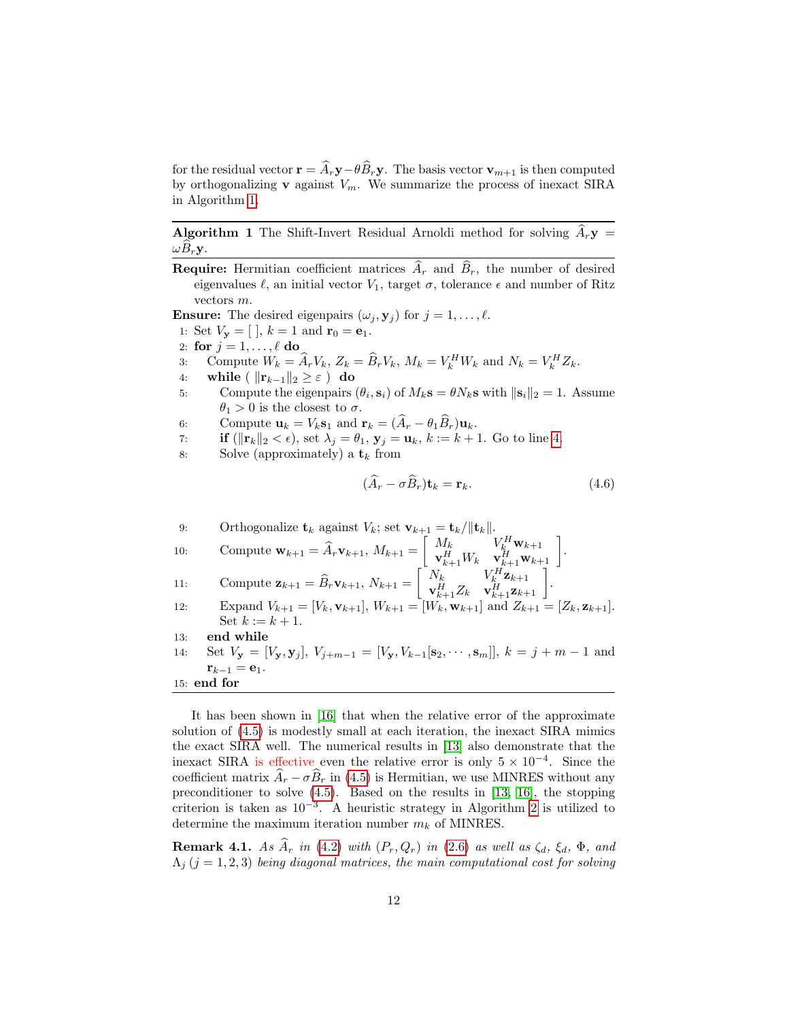for the residual vector  $\mathbf{r} = \hat{A}_r \mathbf{y} - \theta \hat{B}_r \mathbf{y}$ . The basis vector  $\mathbf{v}_{m+1}$  is then computed by orthogonalizing **v** against  $V_m$ . We summarize the process of inexact SIRA in Algorithm [1.](#page-11-0)

**Algorithm 1** The Shift-Invert Residual Arnoldi method for solving  $A_r$ **y** =  $\omega B_r \mathbf{y}$ .

**Require:** Hermitian coefficient matrices  $\widehat{A}_r$  and  $\widehat{B}_r$ , the number of desired eigenvalues  $\ell$ , an initial vector  $V_1$ , target  $\sigma$ , tolerance  $\epsilon$  and number of Ritz vectors m.

**Ensure:** The desired eigenpairs  $(\omega_j, \mathbf{y}_j)$  for  $j = 1, \ldots, \ell$ .

1: Set  $V_{\mathbf{y}} = [ , k = 1 \text{ and } \mathbf{r}_0 = \mathbf{e}_1.$ 

- 2: for  $j = 1, \ldots, \ell$  do
- 3: Compute  $W_k = \widehat{A}_r V_k$ ,  $Z_k = \widehat{B}_r V_k$ ,  $M_k = V_k^H W_k$  and  $N_k = V_k^H Z_k$ .
- 4: while (  $||\mathbf{r}_{k-1}||_2 \geq \varepsilon$  ) do
- 5: Compute the eigenpairs  $(\theta_i, \mathbf{s}_i)$  of  $M_k \mathbf{s} = \theta N_k \mathbf{s}$  with  $\|\mathbf{s}_i\|_2 = 1$ . Assume  $\theta_1 > 0$  is the closest to  $\sigma$ .

6: Compute 
$$
\mathbf{u}_k = V_k \mathbf{s}_1
$$
 and  $\mathbf{r}_k = (\hat{A}_r - \theta_1 \hat{B}_r) \mathbf{u}_k$ .

- 7: **if**  $(\|\mathbf{r}_k\|_2 < \epsilon)$ , set  $\lambda_j = \theta_1$ ,  $\mathbf{y}_j = \mathbf{u}_k$ ,  $k := k + 1$ . Go to line [4.](#page-11-1)
- 8: Solve (approximately) a  $t_k$  from

<span id="page-11-2"></span><span id="page-11-1"></span>
$$
(\hat{A}_r - \sigma \hat{B}_r)\mathbf{t}_k = \mathbf{r}_k. \tag{4.6}
$$

9: Orthogonalize 
$$
\mathbf{t}_k
$$
 against  $V_k$ ; set  $\mathbf{v}_{k+1} = \mathbf{t}_k / \|\mathbf{t}_k\|$ .  
\n10: Compute  $\mathbf{w}_{k+1} = \hat{A}_r \mathbf{v}_{k+1}$ ,  $M_{k+1} = \begin{bmatrix} M_k & V_k^H \mathbf{w}_{k+1} \\ \mathbf{v}_{k+1}^H W_k & \mathbf{v}_{k+1}^H \mathbf{w}_{k+1} \end{bmatrix}$ .  
\n11: Compute  $\mathbf{z}_{k+1} = \hat{B}_r \mathbf{v}_{k+1}$ ,  $N_{k+1} = \begin{bmatrix} N_k & V_k^H \mathbf{z}_{k+1} \\ \mathbf{v}_{k+1}^H Z_k & \mathbf{v}_{k+1}^H \mathbf{z}_{k+1} \end{bmatrix}$ .  
\n12: Expand  $V_{k+1} = [V_k, \mathbf{v}_{k+1}], W_{k+1} = [W_k, \mathbf{w}_{k+1}]$  and  $Z_{k+1} = [Z_k, \mathbf{z}_{k+1}].$   
\n13: **end while**  
\n14: Set  $V_{\mathbf{y}} = [V_{\mathbf{y}}, \mathbf{y}_j], V_{j+m-1} = [V_{\mathbf{y}}, V_{k-1}[\mathbf{s}_2, \cdots, \mathbf{s}_m]], k = j + m - 1$  and  $\mathbf{r}_{k-1} = \mathbf{e}_1$ .  
\n15: **end for**

<span id="page-11-0"></span>It has been shown in [\[16\]](#page-21-9) that when the relative error of the approximate solution of [\(4.5\)](#page-10-0) is modestly small at each iteration, the inexact SIRA mimics the exact SIRA well. The numerical results in [\[13\]](#page-21-12) also demonstrate that the inexact SIRA is effective even the relative error is only  $5 \times 10^{-4}$ . Since the coefficient matrix  $\hat{A}_r - \sigma \hat{B}_r$  in [\(4.5\)](#page-10-0) is Hermitian, we use MINRES without any preconditioner to solve [\(4.5\)](#page-10-0). Based on the results in [\[13,](#page-21-12) [16\]](#page-21-9), the stopping criterion is taken as  $10^{-3}$ . A heuristic strategy in Algorithm [2](#page-12-1) is utilized to determine the maximum iteration number  $m_k$  of MINRES.

<span id="page-11-3"></span>**Remark 4.1.** As  $\widehat{A}_r$  in [\(4.2\)](#page-9-2) with  $(P_r, Q_r)$  in [\(2.6\)](#page-5-3) as well as  $\zeta_d$ ,  $\xi_d$ ,  $\Phi$ , and  $\Lambda_j$  (j = 1, 2, 3) being diagonal matrices, the main computational cost for solving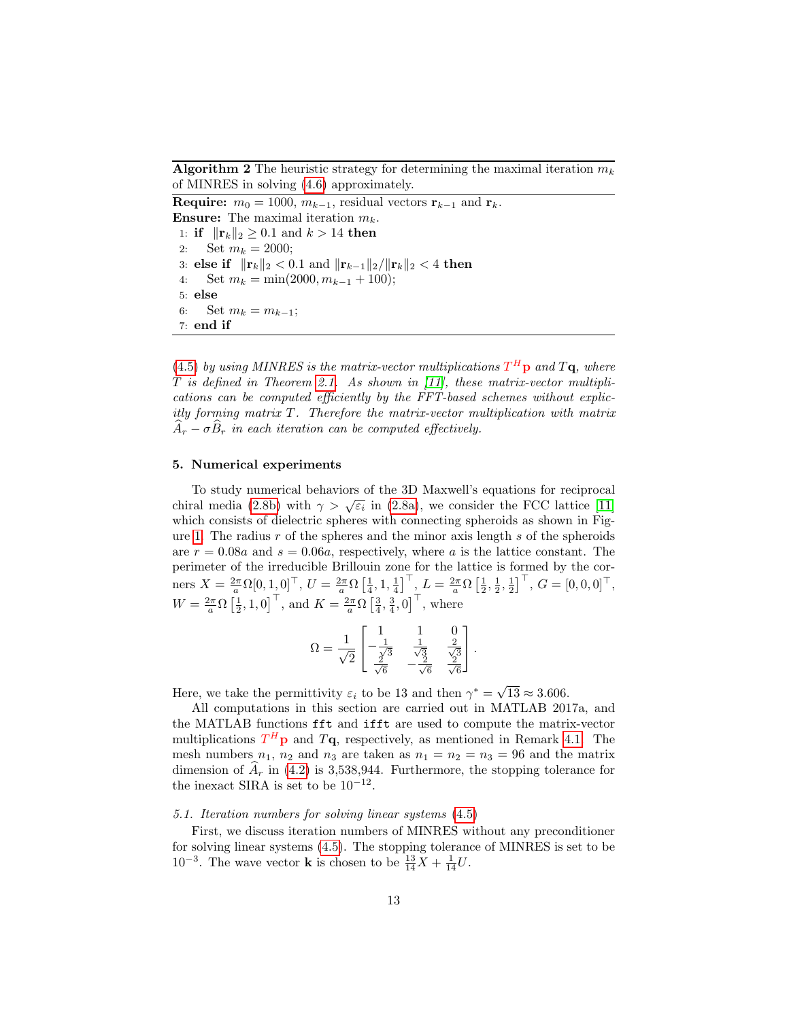Algorithm 2 The heuristic strategy for determining the maximal iteration  $m_k$ of MINRES in solving [\(4.6\)](#page-11-2) approximately.

Require:  $m_0 = 1000$ ,  $m_{k-1}$ , residual vectors  $\mathbf{r}_{k-1}$  and  $\mathbf{r}_k$ . **Ensure:** The maximal iteration  $m_k$ . 1: if  $||\mathbf{r}_k||_2 \geq 0.1$  and  $k > 14$  then 2: Set  $m_k = 2000;$ 3: else if  $||\mathbf{r}_k||_2 < 0.1$  and  $||\mathbf{r}_{k-1}||_2/||\mathbf{r}_k||_2 < 4$  then 4: Set  $m_k = \min(2000, m_{k-1} + 100);$ 5: else 6: Set  $m_k = m_{k-1}$ ; 7: end if

<span id="page-12-1"></span>[\(4.5\)](#page-10-0) by using MINRES is the matrix-vector multiplications  $T^H$ **p** and  $T\mathbf{q}$ , where  $T$  is defined in Theorem [2.1.](#page-5-0) As shown in  $[11]$ , these matrix-vector multiplications can be computed efficiently by the FFT-based schemes without explicitly forming matrix T. Therefore the matrix-vector multiplication with matrix  $A_r - \sigma B_r$  in each iteration can be computed effectively.

## <span id="page-12-0"></span>5. Numerical experiments

To study numerical behaviors of the 3D Maxwell's equations for reciprocal Fo study numerical behaviors of the 3D Maxwell's equations for reciprocal<br>chiral media [\(2.8b\)](#page-4-2) with  $\gamma > \sqrt{\varepsilon_i}$  in [\(2.8a\)](#page-4-3), we consider the FCC lattice [\[11\]](#page-20-8) which consists of dielectric spheres with connecting spheroids as shown in Fig-ure [1.](#page-13-0) The radius  $r$  of the spheres and the minor axis length  $s$  of the spheroids are  $r = 0.08a$  and  $s = 0.06a$ , respectively, where a is the lattice constant. The perimeter of the irreducible Brillouin zone for the lattice is formed by the corners  $X = \frac{2\pi}{a} \Omega[0, 1, 0]^\top$ ,  $U = \frac{2\pi}{a} \Omega \left[\frac{1}{4}, 1, \frac{1}{4}\right]^\top$ ,  $L = \frac{2\pi}{a} \Omega \left[\frac{1}{2}, \frac{1}{2}, \frac{1}{2}\right]^\top$ ,  $G = [0, 0, 0]^\top$ ,  $W = \frac{2\pi}{a} \Omega \left[\frac{1}{2}, 1, 0\right]^\top$ , and  $K = \frac{2\pi}{a} \Omega \left[\frac{3}{4}, \frac{3}{4}, 0\right]^\top$ , where

$$
\Omega = \frac{1}{\sqrt{2}} \begin{bmatrix} 1 & 1 & 0 \\ -\frac{1}{\sqrt{3}} & \frac{1}{\sqrt{3}} & \frac{2}{\sqrt{3}} \\ \frac{2}{\sqrt{6}} & -\frac{2}{\sqrt{6}} & \frac{2}{\sqrt{6}} \end{bmatrix}.
$$

Here, we take the permittivity  $\varepsilon_i$  to be 13 and then  $\gamma^* = \sqrt{\frac{\varepsilon_i^*}{n}}$  $13 \approx 3.606$ .

All computations in this section are carried out in MATLAB 2017a, and the MATLAB functions fft and ifft are used to compute the matrix-vector multiplications  $T^H$ **p** and  $T$ **q**, respectively, as mentioned in Remark [4.1.](#page-11-3) The mesh numbers  $n_1$ ,  $n_2$  and  $n_3$  are taken as  $n_1 = n_2 = n_3 = 96$  and the matrix dimension of  $A_r$  in [\(4.2\)](#page-9-2) is 3,538,944. Furthermore, the stopping tolerance for the inexact SIRA is set to be  $10^{-12}$ .

## 5.1. Iteration numbers for solving linear systems [\(4.5\)](#page-10-0)

First, we discuss iteration numbers of MINRES without any preconditioner for solving linear systems [\(4.5\)](#page-10-0). The stopping tolerance of MINRES is set to be  $10^{-3}$ . The wave vector **k** is chosen to be  $\frac{13}{14}X + \frac{1}{14}U$ .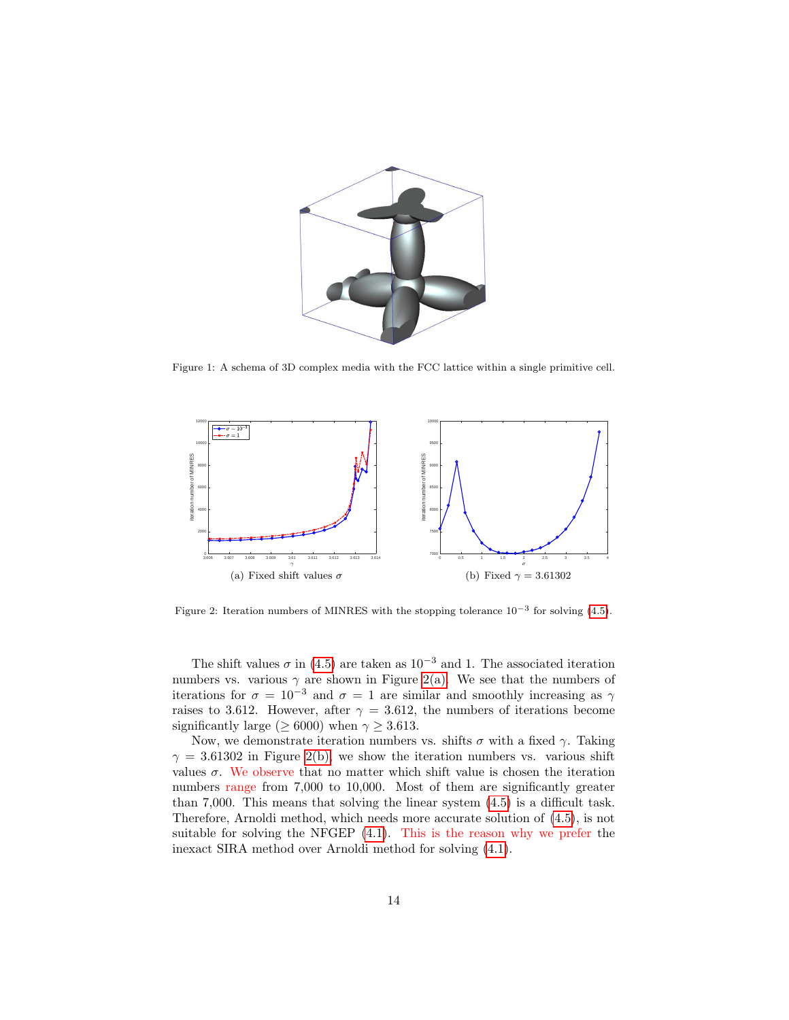

Figure 1: A schema of 3D complex media with the FCC lattice within a single primitive cell.

<span id="page-13-0"></span>

<span id="page-13-3"></span><span id="page-13-2"></span><span id="page-13-1"></span>Figure 2: Iteration numbers of MINRES with the stopping tolerance  $10^{-3}$  for solving [\(4.5\)](#page-10-0).

The shift values  $\sigma$  in [\(4.5\)](#page-10-0) are taken as 10<sup>-3</sup> and 1. The associated iteration numbers vs. various  $\gamma$  are shown in Figure [2\(a\).](#page-13-1) We see that the numbers of iterations for  $\sigma = 10^{-3}$  and  $\sigma = 1$  are similar and smoothly increasing as  $\gamma$ raises to 3.612. However, after  $\gamma = 3.612$ , the numbers of iterations become significantly large ( $\geq 6000$ ) when  $\gamma \geq 3.613$ .

Now, we demonstrate iteration numbers vs. shifts  $\sigma$  with a fixed  $\gamma$ . Taking  $\gamma = 3.61302$  in Figure [2\(b\),](#page-13-2) we show the iteration numbers vs. various shift values  $\sigma$ . We observe that no matter which shift value is chosen the iteration numbers range from 7,000 to 10,000. Most of them are significantly greater than 7,000. This means that solving the linear system [\(4.5\)](#page-10-0) is a difficult task. Therefore, Arnoldi method, which needs more accurate solution of [\(4.5\)](#page-10-0), is not suitable for solving the NFGEP [\(4.1\)](#page-9-1). This is the reason why we prefer the inexact SIRA method over Arnoldi method for solving [\(4.1\)](#page-9-1).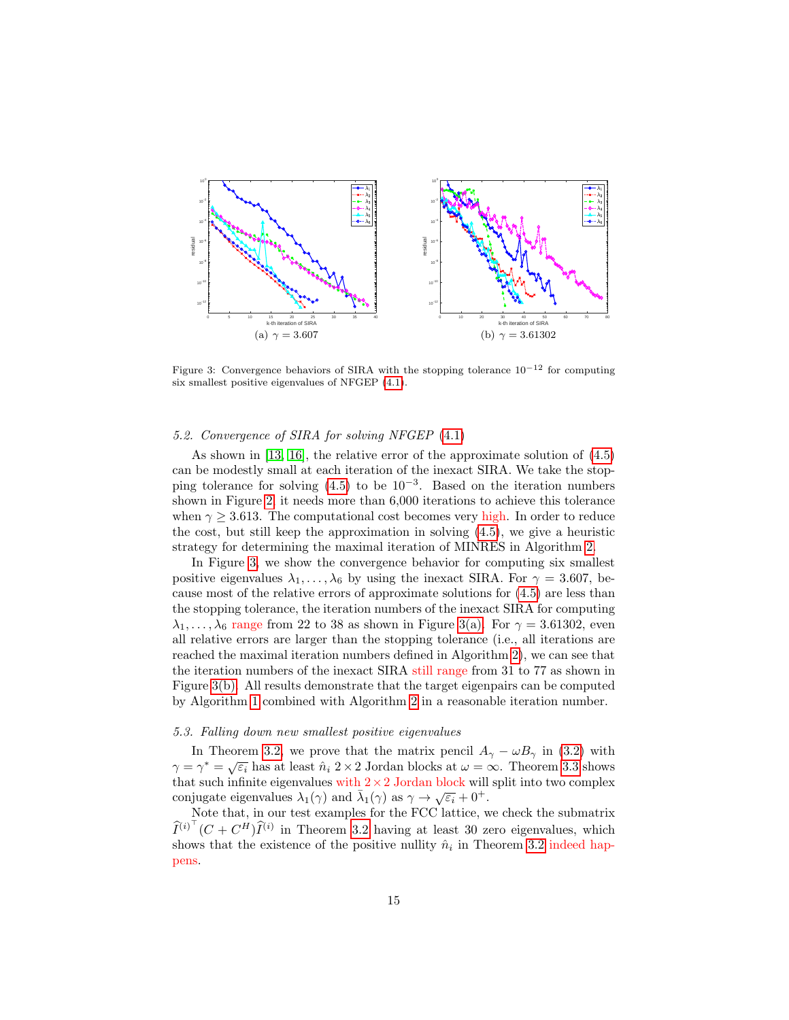

<span id="page-14-3"></span><span id="page-14-2"></span><span id="page-14-1"></span>Figure 3: Convergence behaviors of SIRA with the stopping tolerance  $10^{-12}$  for computing six smallest positive eigenvalues of NFGEP [\(4.1\)](#page-9-1).

#### 5.2. Convergence of SIRA for solving NFGEP [\(4.1\)](#page-9-1)

As shown in [\[13,](#page-21-12) [16\]](#page-21-9), the relative error of the approximate solution of [\(4.5\)](#page-10-0) can be modestly small at each iteration of the inexact SIRA. We take the stopping tolerance for solving  $(4.5)$  to be  $10^{-3}$ . Based on the iteration numbers shown in Figure [2,](#page-13-3) it needs more than 6,000 iterations to achieve this tolerance when  $\gamma \geq 3.613$ . The computational cost becomes very high. In order to reduce the cost, but still keep the approximation in solving [\(4.5\)](#page-10-0), we give a heuristic strategy for determining the maximal iteration of MINRES in Algorithm [2.](#page-12-1)

In Figure [3,](#page-14-1) we show the convergence behavior for computing six smallest positive eigenvalues  $\lambda_1, \ldots, \lambda_6$  by using the inexact SIRA. For  $\gamma = 3.607$ , because most of the relative errors of approximate solutions for [\(4.5\)](#page-10-0) are less than the stopping tolerance, the iteration numbers of the inexact SIRA for computing  $\lambda_1, \ldots, \lambda_6$  range from 22 to 38 as shown in Figure [3\(a\).](#page-14-2) For  $\gamma = 3.61302$ , even all relative errors are larger than the stopping tolerance (i.e., all iterations are reached the maximal iteration numbers defined in Algorithm [2\)](#page-12-1), we can see that the iteration numbers of the inexact SIRA still range from 31 to 77 as shown in Figure [3\(b\).](#page-14-3) All results demonstrate that the target eigenpairs can be computed by Algorithm [1](#page-11-0) combined with Algorithm [2](#page-12-1) in a reasonable iteration number.

#### <span id="page-14-0"></span>5.3. Falling down new smallest positive eigenvalues

In Theorem [3.2,](#page-7-1) we prove that the matrix pencil  $A_{\gamma} - \omega B_{\gamma}$  in [\(3.2\)](#page-6-1) with  $\gamma = \gamma^* = \sqrt{\varepsilon_i}$  has at least  $\hat{n}_i$  2 × 2 Jordan blocks at  $\omega = \infty$ . Theorem [3.3](#page-7-3) shows that such infinite eigenvalues with  $2 \times 2$  Jordan block will split into two complex conjugate eigenvalues  $\lambda_1(\gamma)$  and  $\bar{\lambda}_1(\gamma)$  as  $\gamma \to \sqrt{\varepsilon_i} + 0^+$ .

Note that, in our test examples for the FCC lattice, we check the submatrix  $\widehat{I}^{(i)^\top}(C + C^H)\widehat{I}^{(i)}$  in Theorem [3.2](#page-7-1) having at least 30 zero eigenvalues, which shows that the existence of the positive nullity  $\hat{n}_i$  in Theorem [3.2](#page-7-1) indeed happens.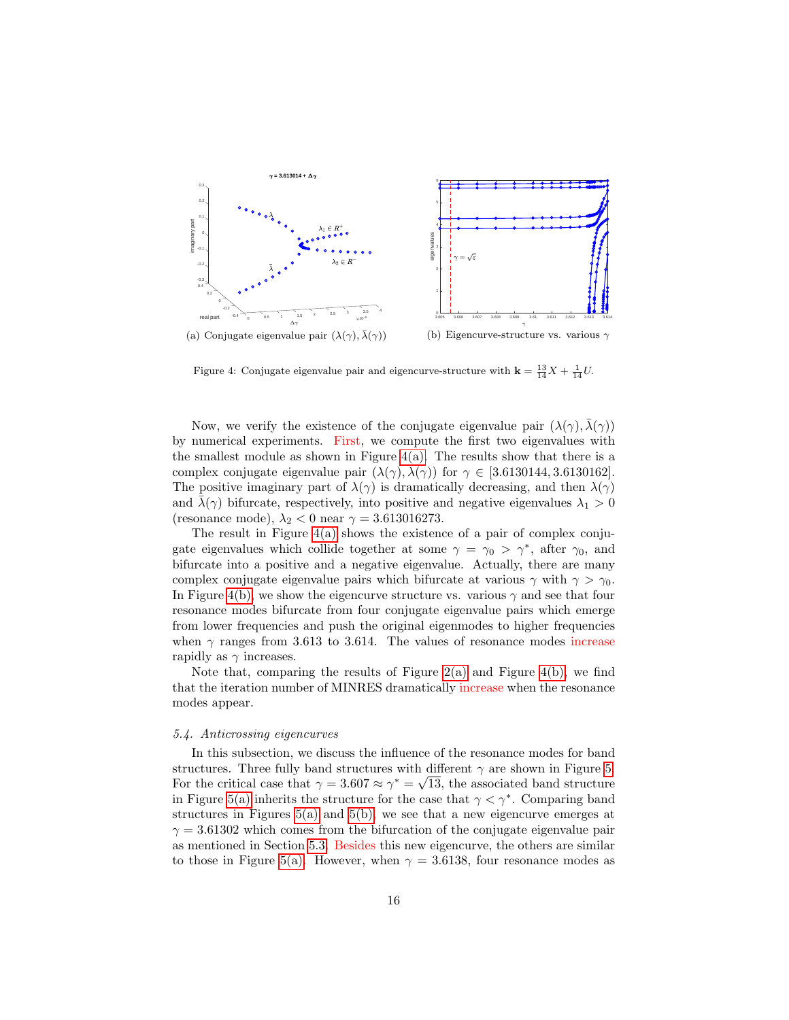

<span id="page-15-1"></span><span id="page-15-0"></span>Figure 4: Conjugate eigenvalue pair and eigencurve-structure with  $\mathbf{k} = \frac{13}{14}X + \frac{1}{14}U$ .

Now, we verify the existence of the conjugate eigenvalue pair  $(\lambda(\gamma), \overline{\lambda}(\gamma))$ by numerical experiments. First, we compute the first two eigenvalues with the smallest module as shown in Figure  $4(a)$ . The results show that there is a complex conjugate eigenvalue pair  $(\lambda(\gamma), \overline{\lambda}(\gamma))$  for  $\gamma \in [3.6130144, 3.6130162]$ . The positive imaginary part of  $\lambda(\gamma)$  is dramatically decreasing, and then  $\lambda(\gamma)$ and  $\bar{\lambda}(\gamma)$  bifurcate, respectively, into positive and negative eigenvalues  $\lambda_1 > 0$ (resonance mode),  $\lambda_2 < 0$  near  $\gamma = 3.613016273$ .

The result in Figure [4\(a\)](#page-15-0) shows the existence of a pair of complex conjugate eigenvalues which collide together at some  $\gamma = \gamma_0 > \gamma^*$ , after  $\gamma_0$ , and bifurcate into a positive and a negative eigenvalue. Actually, there are many complex conjugate eigenvalue pairs which bifurcate at various  $\gamma$  with  $\gamma > \gamma_0$ . In Figure [4\(b\),](#page-15-1) we show the eigencurve structure vs. various  $\gamma$  and see that four resonance modes bifurcate from four conjugate eigenvalue pairs which emerge from lower frequencies and push the original eigenmodes to higher frequencies when  $\gamma$  ranges from 3.613 to 3.614. The values of resonance modes increase rapidly as  $\gamma$  increases.

Note that, comparing the results of Figure  $2(a)$  and Figure  $4(b)$ , we find that the iteration number of MINRES dramatically increase when the resonance modes appear.

#### 5.4. Anticrossing eigencurves

In this subsection, we discuss the influence of the resonance modes for band structures. Three fully band structures with different  $\gamma$  are shown in Figure [5.](#page-16-0) For the critical case that  $\gamma = 3.607 \approx \gamma^* = \sqrt{13}$ , the associated band structure in Figure [5\(a\)](#page-16-1) inherits the structure for the case that  $\gamma < \gamma^*$ . Comparing band structures in Figures  $5(a)$  and  $5(b)$ , we see that a new eigencurve emerges at  $\gamma = 3.61302$  which comes from the bifurcation of the conjugate eigenvalue pair as mentioned in Section [5.3.](#page-14-0) Besides this new eigencurve, the others are similar to those in Figure [5\(a\).](#page-16-1) However, when  $\gamma = 3.6138$ , four resonance modes as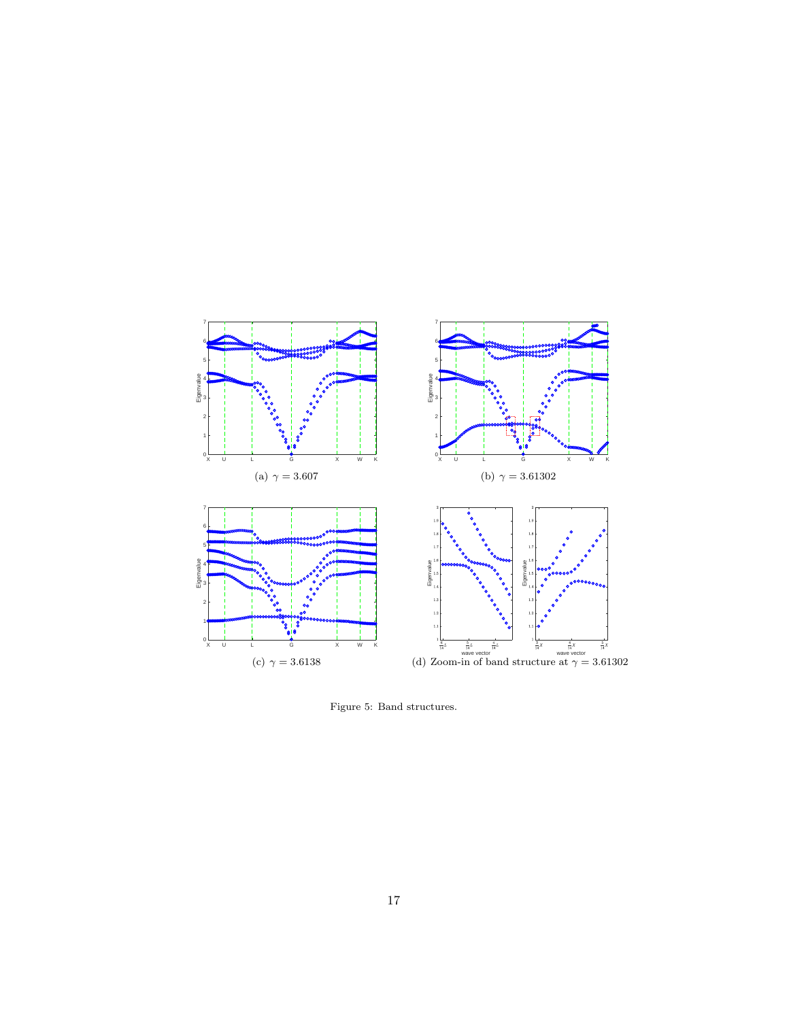<span id="page-16-1"></span>

<span id="page-16-4"></span><span id="page-16-3"></span><span id="page-16-2"></span><span id="page-16-0"></span>Figure 5: Band structures.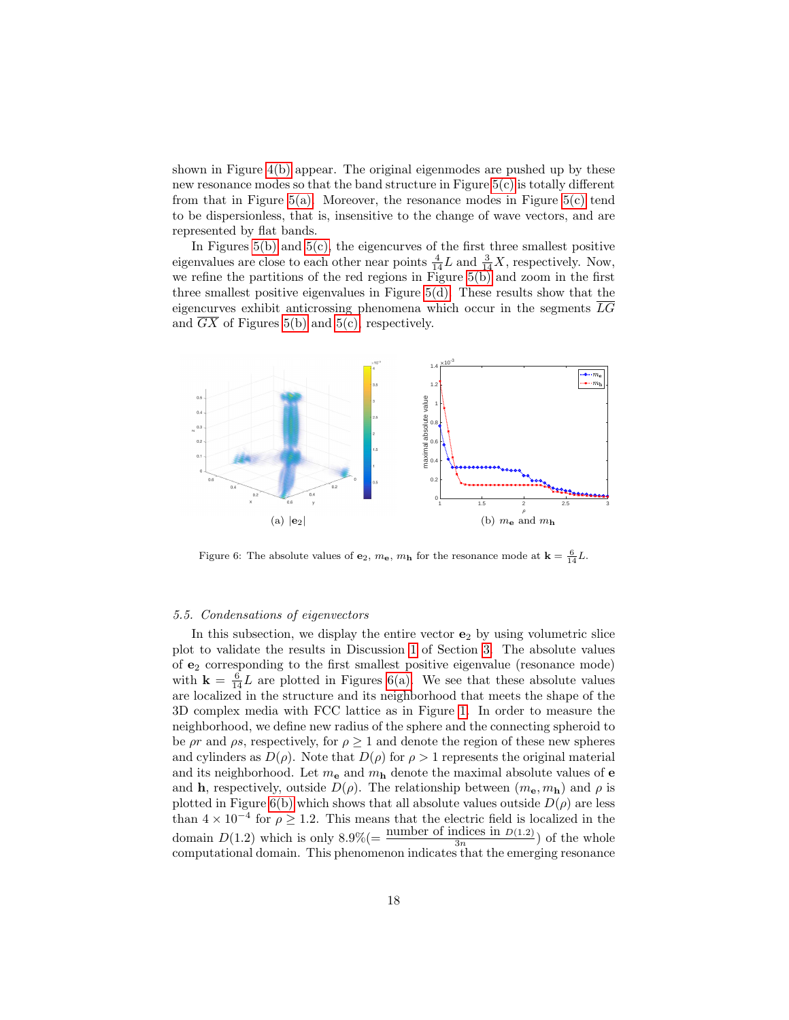shown in Figure [4\(b\)](#page-15-1) appear. The original eigenmodes are pushed up by these new resonance modes so that the band structure in Figure [5\(c\)](#page-16-3) is totally different from that in Figure  $5(a)$ . Moreover, the resonance modes in Figure  $5(c)$  tend to be dispersionless, that is, insensitive to the change of wave vectors, and are represented by flat bands.

In Figures  $5(b)$  and  $5(c)$ , the eigencurves of the first three smallest positive eigenvalues are close to each other near points  $\frac{4}{14}L$  and  $\frac{3}{14}X$ , respectively. Now, we refine the partitions of the red regions in Figure  $5(b)$  and zoom in the first three smallest positive eigenvalues in Figure [5\(d\).](#page-16-4) These results show that the eigencurves exhibit anticrossing phenomena which occur in the segments  $\overline{LG}$ and  $\overline{GX}$  of Figures [5\(b\)](#page-16-2) and [5\(c\),](#page-16-3) respectively.



<span id="page-17-2"></span><span id="page-17-1"></span>Figure 6: The absolute values of  $\mathbf{e}_2$ ,  $m_{\mathbf{e}}$ ,  $m_{\mathbf{h}}$  for the resonance mode at  $\mathbf{k} = \frac{6}{14}L$ .

### <span id="page-17-0"></span>5.5. Condensations of eigenvectors

In this subsection, we display the entire vector  $e_2$  by using volumetric slice plot to validate the results in Discussion [1](#page-8-4) of Section [3.](#page-6-0) The absolute values of  $\mathbf{e}_{2}$  corresponding to the first smallest positive eigenvalue (resonance mode) with  $\mathbf{k} = \frac{6}{14}L$  are plotted in Figures [6\(a\).](#page-17-1) We see that these absolute values are localized in the structure and its neighborhood that meets the shape of the 3D complex media with FCC lattice as in Figure [1.](#page-13-0) In order to measure the neighborhood, we define new radius of the sphere and the connecting spheroid to be  $\rho r$  and  $\rho s$ , respectively, for  $\rho \geq 1$  and denote the region of these new spheres and cylinders as  $D(\rho)$ . Note that  $D(\rho)$  for  $\rho > 1$  represents the original material and its neighborhood. Let  $m_e$  and  $m_h$  denote the maximal absolute values of **e** and h, respectively, outside  $D(\rho)$ . The relationship between  $(m_e, m_h)$  and  $\rho$  is plotted in Figure [6\(b\)](#page-17-2) which shows that all absolute values outside  $D(\rho)$  are less than  $4 \times 10^{-4}$  for  $\rho \geq 1.2$ . This means that the electric field is localized in the domain  $D(1.2)$  which is only  $8.9\%$  (=  $\frac{\text{number of indices in } D(1.2)}{3n}$ ) of the whole computational domain. This phenomenon indicates that the emerging resonance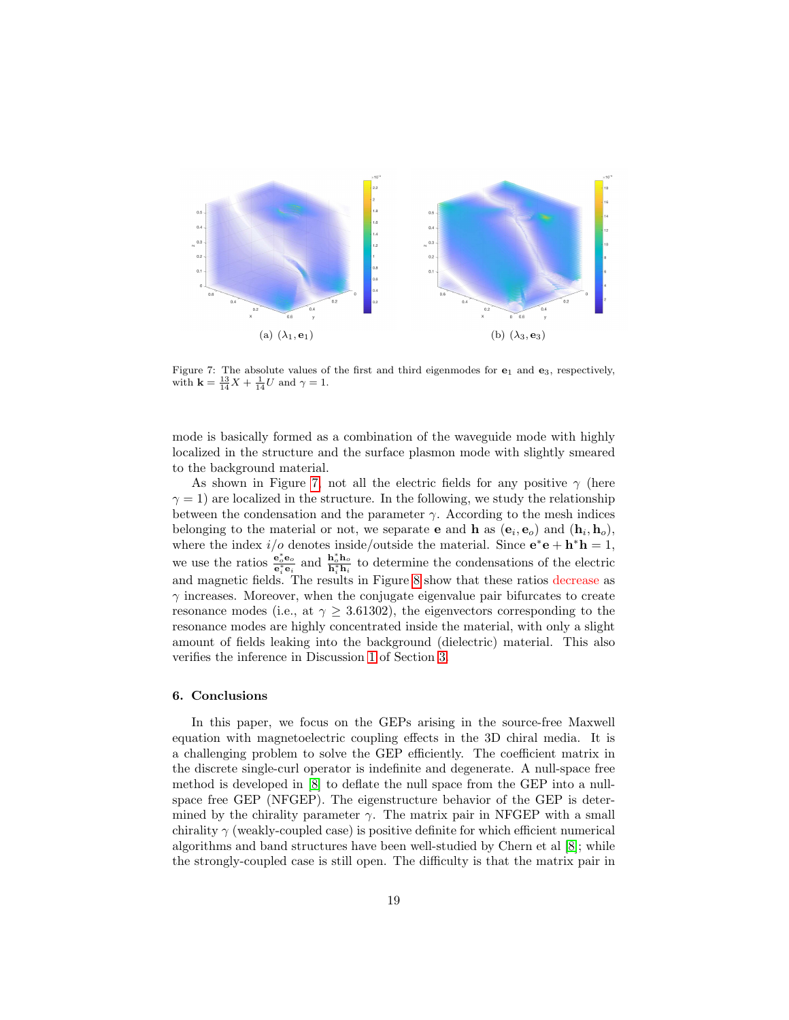

<span id="page-18-1"></span>Figure 7: The absolute values of the first and third eigenmodes for  $e_1$  and  $e_3$ , respectively, with  $\mathbf{k} = \frac{13}{14}X + \frac{1}{14}U$  and  $\gamma = 1$ .

mode is basically formed as a combination of the waveguide mode with highly localized in the structure and the surface plasmon mode with slightly smeared to the background material.

As shown in Figure [7,](#page-18-1) not all the electric fields for any positive  $\gamma$  (here  $\gamma = 1$ ) are localized in the structure. In the following, we study the relationship between the condensation and the parameter  $\gamma$ . According to the mesh indices belonging to the material or not, we separate **e** and **h** as  $(e_i, e_o)$  and  $(h_i, h_o)$ , where the index  $i/o$  denotes inside/outside the material. Since  $e^*e + h^*h = 1$ , we use the ratios  $\frac{e_o^* e_o}{e_i^* e_i}$  and  $\frac{h_o^* h_o}{h_i^* h_i}$  to determine the condensations of the electric and magnetic fields. The results in Figure [8](#page-19-0) show that these ratios decrease as  $\gamma$  increases. Moreover, when the conjugate eigenvalue pair bifurcates to create resonance modes (i.e., at  $\gamma > 3.61302$ ), the eigenvectors corresponding to the resonance modes are highly concentrated inside the material, with only a slight amount of fields leaking into the background (dielectric) material. This also verifies the inference in Discussion [1](#page-8-4) of Section [3.](#page-6-0)

#### <span id="page-18-0"></span>6. Conclusions

In this paper, we focus on the GEPs arising in the source-free Maxwell equation with magnetoelectric coupling effects in the 3D chiral media. It is a challenging problem to solve the GEP efficiently. The coefficient matrix in the discrete single-curl operator is indefinite and degenerate. A null-space free method is developed in [\[8\]](#page-20-7) to deflate the null space from the GEP into a nullspace free GEP (NFGEP). The eigenstructure behavior of the GEP is determined by the chirality parameter  $\gamma$ . The matrix pair in NFGEP with a small chirality  $\gamma$  (weakly-coupled case) is positive definite for which efficient numerical algorithms and band structures have been well-studied by Chern et al [\[8\]](#page-20-7); while the strongly-coupled case is still open. The difficulty is that the matrix pair in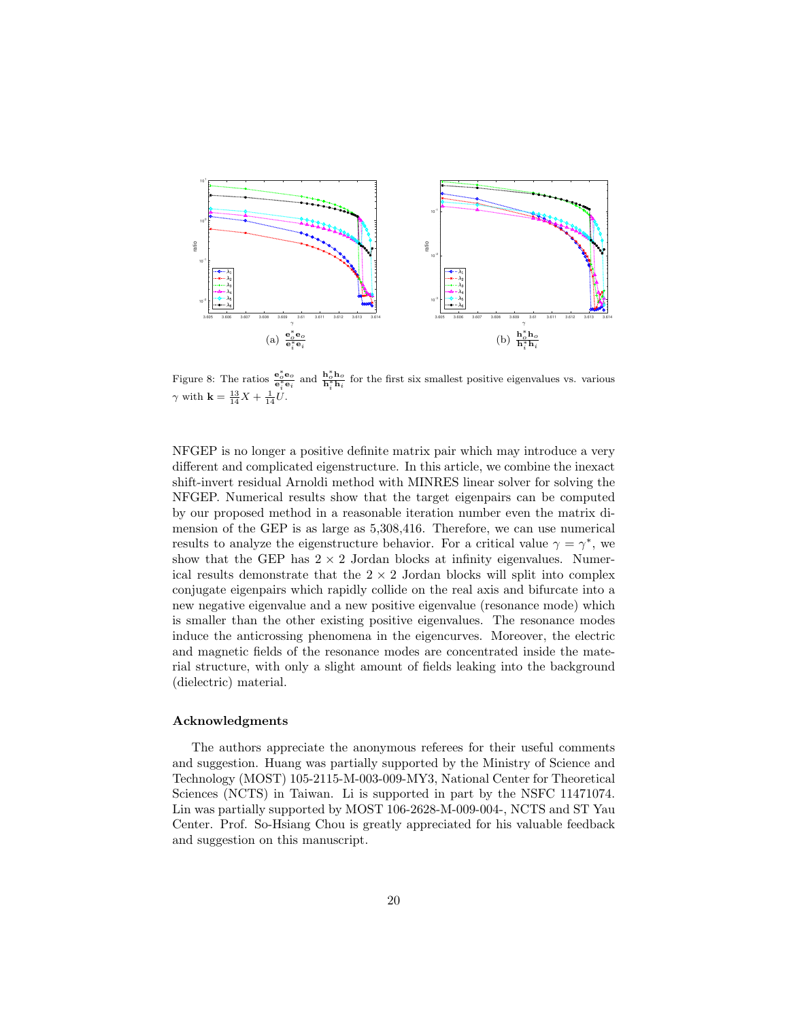

<span id="page-19-0"></span>Figure 8: The ratios  $\frac{e_o^* e_o}{e_i^* e_i}$  and  $\frac{h_o^* h_o}{h_i^* h_i}$  for the first six smallest positive eigenvalues vs. various  $\gamma$  with **k** =  $\frac{13}{14}X + \frac{1}{14}U$ .

NFGEP is no longer a positive definite matrix pair which may introduce a very different and complicated eigenstructure. In this article, we combine the inexact shift-invert residual Arnoldi method with MINRES linear solver for solving the NFGEP. Numerical results show that the target eigenpairs can be computed by our proposed method in a reasonable iteration number even the matrix dimension of the GEP is as large as 5,308,416. Therefore, we can use numerical results to analyze the eigenstructure behavior. For a critical value  $\gamma = \gamma^*$ , we show that the GEP has  $2 \times 2$  Jordan blocks at infinity eigenvalues. Numerical results demonstrate that the  $2 \times 2$  Jordan blocks will split into complex conjugate eigenpairs which rapidly collide on the real axis and bifurcate into a new negative eigenvalue and a new positive eigenvalue (resonance mode) which is smaller than the other existing positive eigenvalues. The resonance modes induce the anticrossing phenomena in the eigencurves. Moreover, the electric and magnetic fields of the resonance modes are concentrated inside the material structure, with only a slight amount of fields leaking into the background (dielectric) material.

# Acknowledgments

The authors appreciate the anonymous referees for their useful comments and suggestion. Huang was partially supported by the Ministry of Science and Technology (MOST) 105-2115-M-003-009-MY3, National Center for Theoretical Sciences (NCTS) in Taiwan. Li is supported in part by the NSFC 11471074. Lin was partially supported by MOST 106-2628-M-009-004-, NCTS and ST Yau Center. Prof. So-Hsiang Chou is greatly appreciated for his valuable feedback and suggestion on this manuscript.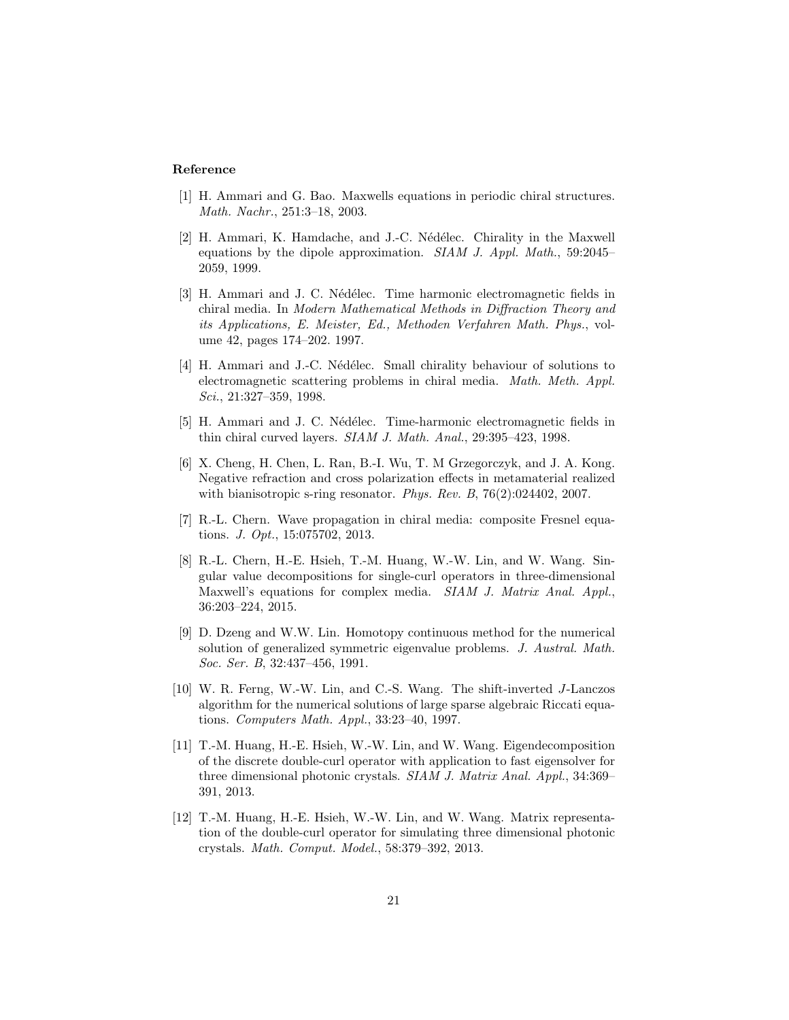## Reference

- <span id="page-20-0"></span>[1] H. Ammari and G. Bao. Maxwells equations in periodic chiral structures. Math. Nachr., 251:3–18, 2003.
- <span id="page-20-1"></span>[2] H. Ammari, K. Hamdache, and J.-C. Nédélec. Chirality in the Maxwell equations by the dipole approximation. SIAM J. Appl. Math., 59:2045– 2059, 1999.
- <span id="page-20-2"></span>[3] H. Ammari and J. C. Nédélec. Time harmonic electromagnetic fields in chiral media. In Modern Mathematical Methods in Diffraction Theory and its Applications, E. Meister, Ed., Methoden Verfahren Math. Phys., volume 42, pages 174–202. 1997.
- <span id="page-20-3"></span>[4] H. Ammari and J.-C. Nédélec. Small chirality behaviour of solutions to electromagnetic scattering problems in chiral media. Math. Meth. Appl. Sci., 21:327–359, 1998.
- <span id="page-20-4"></span>[5] H. Ammari and J. C. Nédélec. Time-harmonic electromagnetic fields in thin chiral curved layers. SIAM J. Math. Anal., 29:395–423, 1998.
- <span id="page-20-5"></span>[6] X. Cheng, H. Chen, L. Ran, B.-I. Wu, T. M Grzegorczyk, and J. A. Kong. Negative refraction and cross polarization effects in metamaterial realized with bianisotropic s-ring resonator. Phys. Rev. B, 76(2):024402, 2007.
- <span id="page-20-6"></span>[7] R.-L. Chern. Wave propagation in chiral media: composite Fresnel equations. J. Opt., 15:075702, 2013.
- <span id="page-20-7"></span>[8] R.-L. Chern, H.-E. Hsieh, T.-M. Huang, W.-W. Lin, and W. Wang. Singular value decompositions for single-curl operators in three-dimensional Maxwell's equations for complex media. SIAM J. Matrix Anal. Appl., 36:203–224, 2015.
- <span id="page-20-11"></span>[9] D. Dzeng and W.W. Lin. Homotopy continuous method for the numerical solution of generalized symmetric eigenvalue problems. J. Austral. Math. Soc. Ser. B, 32:437–456, 1991.
- <span id="page-20-9"></span>[10] W. R. Ferng, W.-W. Lin, and C.-S. Wang. The shift-inverted J-Lanczos algorithm for the numerical solutions of large sparse algebraic Riccati equations. Computers Math. Appl., 33:23–40, 1997.
- <span id="page-20-8"></span>[11] T.-M. Huang, H.-E. Hsieh, W.-W. Lin, and W. Wang. Eigendecomposition of the discrete double-curl operator with application to fast eigensolver for three dimensional photonic crystals. SIAM J. Matrix Anal. Appl., 34:369– 391, 2013.
- <span id="page-20-10"></span>[12] T.-M. Huang, H.-E. Hsieh, W.-W. Lin, and W. Wang. Matrix representation of the double-curl operator for simulating three dimensional photonic crystals. Math. Comput. Model., 58:379–392, 2013.